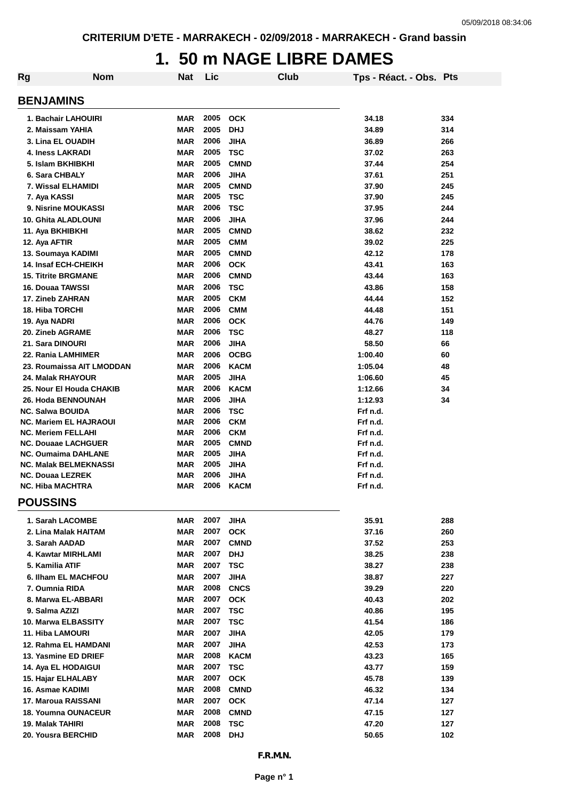## **1. 50 m NAGE LIBRE DAMES**

| Rg | <b>Nom</b>                                              | Nat                      | Lic          | Club                       | Tps - Réact. - Obs. Pts |            |
|----|---------------------------------------------------------|--------------------------|--------------|----------------------------|-------------------------|------------|
|    | <b>BENJAMINS</b>                                        |                          |              |                            |                         |            |
|    |                                                         |                          |              |                            |                         |            |
|    | 1. Bachair LAHOUIRI                                     | <b>MAR</b>               | 2005         | <b>OCK</b>                 | 34.18                   | 334        |
|    | 2. Maissam YAHIA                                        | <b>MAR</b>               | 2005         | <b>DHJ</b>                 | 34.89                   | 314        |
|    | 3. Lina EL OUADIH<br><b>4. Iness LAKRADI</b>            | <b>MAR</b><br><b>MAR</b> | 2006<br>2005 | <b>JIHA</b><br><b>TSC</b>  | 36.89<br>37.02          | 266<br>263 |
|    | 5. Islam BKHIBKHI                                       | <b>MAR</b>               | 2005         | <b>CMND</b>                | 37.44                   | 254        |
|    | 6. Sara CHBALY                                          | <b>MAR</b>               | 2006         | <b>JIHA</b>                | 37.61                   | 251        |
|    | 7. Wissal ELHAMIDI                                      | <b>MAR</b>               | 2005         | <b>CMND</b>                | 37.90                   | 245        |
|    | 7. Aya KASSI                                            | <b>MAR</b>               | 2005         | <b>TSC</b>                 | 37.90                   | 245        |
|    | 9. Nisrine MOUKASSI                                     | <b>MAR</b>               | 2006         | <b>TSC</b>                 | 37.95                   | 244        |
|    | 10. Ghita ALADLOUNI                                     | <b>MAR</b>               | 2006         | <b>JIHA</b>                | 37.96                   | 244        |
|    | 11. Aya BKHIBKHI                                        | <b>MAR</b>               | 2005         | <b>CMND</b>                | 38.62                   | 232        |
|    | 12. Aya AFTIR                                           | <b>MAR</b>               | 2005         | <b>CMM</b>                 | 39.02                   | 225        |
|    | 13. Soumaya KADIMI                                      | <b>MAR</b>               | 2005         | <b>CMND</b>                | 42.12                   | 178        |
|    | <b>14. Insaf ECH-CHEIKH</b>                             | <b>MAR</b>               | 2006         | <b>OCK</b>                 | 43.41                   | 163        |
|    | <b>15. Titrite BRGMANE</b>                              | <b>MAR</b>               | 2006         | <b>CMND</b>                | 43.44                   | 163        |
|    | 16. Douaa TAWSSI                                        | <b>MAR</b>               | 2006         | <b>TSC</b>                 | 43.86                   | 158        |
|    | 17. Zineb ZAHRAN                                        | <b>MAR</b>               | 2005         | <b>CKM</b>                 | 44.44                   | 152        |
|    | <b>18. Hiba TORCHI</b>                                  | <b>MAR</b>               | 2006         | <b>CMM</b>                 | 44.48                   | 151        |
|    | 19. Aya NADRI                                           | <b>MAR</b>               | 2006         | <b>OCK</b>                 | 44.76                   | 149        |
|    | 20. Zineb AGRAME                                        | <b>MAR</b>               | 2006         | <b>TSC</b>                 | 48.27                   | 118        |
|    | 21. Sara DINOURI<br>22. Rania LAMHIMER                  | <b>MAR</b><br><b>MAR</b> | 2006<br>2006 | <b>JIHA</b><br><b>OCBG</b> | 58.50<br>1:00.40        | 66<br>60   |
|    | 23. Roumaissa AIT LMODDAN                               | <b>MAR</b>               | 2006         | <b>KACM</b>                | 1:05.04                 | 48         |
|    | 24. Malak RHAYOUR                                       | <b>MAR</b>               | 2005         | <b>JIHA</b>                | 1:06.60                 | 45         |
|    | 25. Nour El Houda CHAKIB                                | <b>MAR</b>               | 2006         | <b>KACM</b>                | 1:12.66                 | 34         |
|    | 26. Hoda BENNOUNAH                                      | <b>MAR</b>               | 2006         | <b>JIHA</b>                | 1:12.93                 | 34         |
|    | <b>NC. Salwa BOUIDA</b>                                 | <b>MAR</b>               | 2006         | <b>TSC</b>                 | Frf n.d.                |            |
|    | <b>NC. Mariem EL HAJRAOUI</b>                           | <b>MAR</b>               | 2006         | <b>CKM</b>                 | Frf n.d.                |            |
|    | <b>NC. Meriem FELLAHI</b>                               | <b>MAR</b>               | 2006         | <b>CKM</b>                 | Frf n.d.                |            |
|    | <b>NC. Douaae LACHGUER</b>                              | <b>MAR</b>               | 2005         | <b>CMND</b>                | Frf n.d.                |            |
|    | <b>NC. Oumaima DAHLANE</b>                              | <b>MAR</b>               | 2005         | <b>JIHA</b>                | Frf n.d.                |            |
|    | <b>NC. Malak BELMEKNASSI</b><br><b>NC. Douaa LEZREK</b> | <b>MAR</b><br><b>MAR</b> | 2005<br>2006 | <b>JIHA</b><br><b>JIHA</b> | Frf n.d.<br>Frf n.d.    |            |
|    | <b>NC. Hiba MACHTRA</b>                                 | <b>MAR</b>               | 2006         | <b>KACM</b>                | Frf n.d.                |            |
|    |                                                         |                          |              |                            |                         |            |
|    | <b>POUSSINS</b>                                         |                          |              |                            |                         |            |
|    | 1. Sarah LACOMBE                                        | MAR                      | 2007         | <b>JIHA</b>                | 35.91                   | 288        |
|    | 2. Lina Malak HAITAM                                    | <b>MAR</b>               | 2007         | <b>OCK</b>                 | 37.16                   | 260        |
|    | 3. Sarah AADAD                                          | <b>MAR</b>               | 2007         | <b>CMND</b>                | 37.52                   | 253        |
|    | 4. Kawtar MIRHLAMI                                      | MAR                      | 2007         | <b>DHJ</b>                 | 38.25                   | 238        |
|    | 5. Kamilia ATIF                                         | MAR                      | 2007         | <b>TSC</b>                 | 38.27                   | 238        |
|    | 6. Ilham EL MACHFOU                                     | <b>MAR</b><br><b>MAR</b> | 2007<br>2008 | <b>JIHA</b><br><b>CNCS</b> | 38.87<br>39.29          | 227<br>220 |
|    | 7. Oumnia RIDA<br>8. Marwa EL-ABBARI                    | <b>MAR</b>               | 2007         | <b>OCK</b>                 | 40.43                   | 202        |
|    | 9. Salma AZIZI                                          | <b>MAR</b>               | 2007         | <b>TSC</b>                 | 40.86                   | 195        |
|    | 10. Marwa ELBASSITY                                     | <b>MAR</b>               | 2007         | <b>TSC</b>                 | 41.54                   | 186        |
|    | 11. Hiba LAMOURI                                        | <b>MAR</b>               | 2007         | <b>JIHA</b>                | 42.05                   | 179        |
|    | 12. Rahma EL HAMDANI                                    | <b>MAR</b>               | 2007         | <b>JIHA</b>                | 42.53                   | 173        |
|    | 13. Yasmine ED DRIEF                                    | <b>MAR</b>               | 2008         | <b>KACM</b>                | 43.23                   | 165        |
|    | 14. Aya EL HODAIGUI                                     | MAR                      | 2007         | <b>TSC</b>                 | 43.77                   | 159        |
|    | 15. Hajar ELHALABY                                      | MAR                      | 2007         | <b>OCK</b>                 | 45.78                   | 139        |
|    | 16. Asmae KADIMI                                        | <b>MAR</b>               | 2008         | <b>CMND</b>                | 46.32                   | 134        |
|    | 17. Maroua RAISSANI                                     | MAR                      | 2007         | <b>OCK</b>                 | 47.14                   | 127        |
|    | <b>18. Youmna OUNACEUR</b>                              | MAR                      | 2008         | <b>CMND</b>                | 47.15                   | 127        |
|    | 19. Malak TAHIRI                                        | MAR                      | 2008         | <b>TSC</b>                 | 47.20                   | 127        |
|    | 20. Yousra BERCHID                                      | <b>MAR</b>               | 2008 DHJ     |                            | 50.65                   | 102        |
|    |                                                         |                          |              | F.R.M.N.                   |                         |            |
|    |                                                         |                          |              |                            |                         |            |
|    |                                                         |                          |              | Page n° 1                  |                         |            |
|    |                                                         |                          |              |                            |                         |            |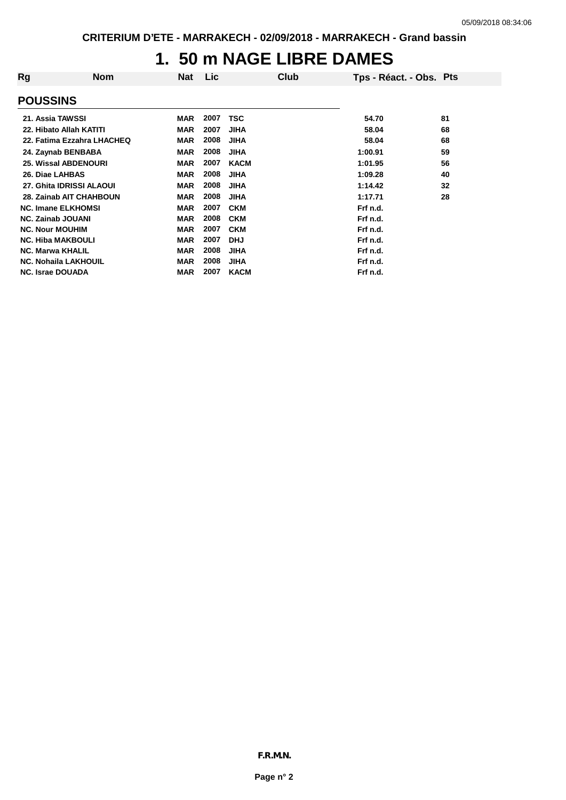## **1. 50 m NAGE LIBRE DAMES**

| Rg                          | <b>Nom</b>                 | Nat        | Lic  | Club        | Tps - Réact. - Obs. Pts |    |
|-----------------------------|----------------------------|------------|------|-------------|-------------------------|----|
| <b>POUSSINS</b>             |                            |            |      |             |                         |    |
| 21. Assia TAWSSI            |                            | <b>MAR</b> | 2007 | TSC         | 54.70                   | 81 |
| 22. Hibato Allah KATITI     |                            | <b>MAR</b> | 2007 | <b>JIHA</b> | 58.04                   | 68 |
|                             | 22. Fatima Ezzahra LHACHEQ | <b>MAR</b> | 2008 | <b>JIHA</b> | 58.04                   | 68 |
| 24. Zaynab BENBABA          |                            | <b>MAR</b> | 2008 | <b>JIHA</b> | 1:00.91                 | 59 |
| <b>25. Wissal ABDENOURI</b> |                            | <b>MAR</b> | 2007 | <b>KACM</b> | 1:01.95                 | 56 |
| 26. Diae LAHBAS             |                            | <b>MAR</b> | 2008 | <b>JIHA</b> | 1:09.28                 | 40 |
| 27. Ghita IDRISSI ALAOUI    |                            | <b>MAR</b> | 2008 | <b>JIHA</b> | 1:14.42                 | 32 |
|                             | 28. Zainab AIT CHAHBOUN    | <b>MAR</b> | 2008 | <b>JIHA</b> | 1:17.71                 | 28 |
| <b>NC. Imane ELKHOMSI</b>   |                            | <b>MAR</b> | 2007 | <b>CKM</b>  | Frf n.d.                |    |
| <b>NC. Zainab JOUANI</b>    |                            | <b>MAR</b> | 2008 | <b>CKM</b>  | Frf n.d.                |    |
| <b>NC. Nour MOUHIM</b>      |                            | <b>MAR</b> | 2007 | <b>CKM</b>  | Frf n.d.                |    |
| <b>NC. Hiba MAKBOULI</b>    |                            | <b>MAR</b> | 2007 | <b>DHJ</b>  | Frf n.d.                |    |
| <b>NC. Marwa KHALIL</b>     |                            | <b>MAR</b> | 2008 | <b>JIHA</b> | Frf n.d.                |    |
| <b>NC. Nohaila LAKHOUIL</b> |                            | <b>MAR</b> | 2008 | <b>JIHA</b> | Frf n.d.                |    |
| <b>NC. Israe DOUADA</b>     |                            | <b>MAR</b> | 2007 | <b>KACM</b> | Frf n.d.                |    |
|                             |                            |            |      |             |                         |    |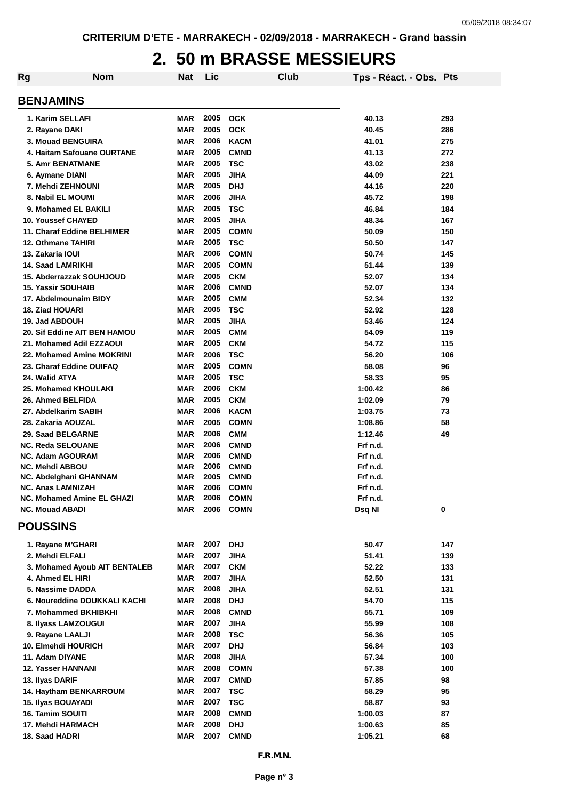## **2. 50 m BRASSE MESSIEURS**

| <b>Rg</b> | <b>Nom</b>                    | Nat        | Lic  |             | Club      | Tps - Réact. - Obs. Pts |     |
|-----------|-------------------------------|------------|------|-------------|-----------|-------------------------|-----|
|           | <b>BENJAMINS</b>              |            |      |             |           |                         |     |
|           | 1. Karim SELLAFI              | <b>MAR</b> |      | 2005 OCK    |           | 40.13                   | 293 |
|           | 2. Rayane DAKI                | <b>MAR</b> | 2005 | <b>OCK</b>  |           | 40.45                   | 286 |
|           | <b>3. Mouad BENGUIRA</b>      | <b>MAR</b> | 2006 | <b>KACM</b> |           | 41.01                   | 275 |
|           | 4. Haitam Safouane OURTANE    | <b>MAR</b> | 2005 | <b>CMND</b> |           | 41.13                   | 272 |
|           | 5. Amr BENATMANE              | <b>MAR</b> | 2005 | <b>TSC</b>  |           | 43.02                   | 238 |
|           | 6. Aymane DIANI               | <b>MAR</b> | 2005 | <b>JIHA</b> |           | 44.09                   | 221 |
|           | 7. Mehdi ZEHNOUNI             | <b>MAR</b> | 2005 | <b>DHJ</b>  |           | 44.16                   | 220 |
|           | 8. Nabil EL MOUMI             | <b>MAR</b> | 2006 | <b>JIHA</b> |           | 45.72                   | 198 |
|           | 9. Mohamed EL BAKILI          | <b>MAR</b> | 2005 | <b>TSC</b>  |           | 46.84                   | 184 |
|           | <b>10. Youssef CHAYED</b>     | <b>MAR</b> | 2005 | <b>JIHA</b> |           | 48.34                   | 167 |
|           | 11. Charaf Eddine BELHIMER    | <b>MAR</b> | 2005 | <b>COMN</b> |           | 50.09                   | 150 |
|           | 12. Othmane TAHIRI            | <b>MAR</b> | 2005 | <b>TSC</b>  |           | 50.50                   | 147 |
|           | 13. Zakaria IOUI              | <b>MAR</b> | 2006 | <b>COMN</b> |           | 50.74                   | 145 |
|           | <b>14. Saad LAMRIKHI</b>      | <b>MAR</b> | 2005 | <b>COMN</b> |           | 51.44                   | 139 |
|           | 15. Abderrazzak SOUHJOUD      | <b>MAR</b> | 2005 | <b>CKM</b>  |           | 52.07                   | 134 |
|           | <b>15. Yassir SOUHAIB</b>     | <b>MAR</b> | 2006 | <b>CMND</b> |           | 52.07                   | 134 |
|           | 17. Abdelmounaim BIDY         | <b>MAR</b> | 2005 | <b>CMM</b>  |           | 52.34                   | 132 |
|           | <b>18. Ziad HOUARI</b>        | <b>MAR</b> | 2005 | <b>TSC</b>  |           | 52.92                   | 128 |
|           | 19. Jad ABDOUH                | <b>MAR</b> | 2005 | <b>JIHA</b> |           | 53.46                   | 124 |
|           | 20. Sif Eddine AIT BEN HAMOU  | <b>MAR</b> | 2005 | <b>CMM</b>  |           | 54.09                   | 119 |
|           | 21. Mohamed Adil EZZAOUI      | <b>MAR</b> | 2005 | <b>CKM</b>  |           | 54.72                   | 115 |
|           | 22. Mohamed Amine MOKRINI     | <b>MAR</b> | 2006 | <b>TSC</b>  |           | 56.20                   | 106 |
|           | 23. Charaf Eddine OUIFAQ      | <b>MAR</b> | 2005 | <b>COMN</b> |           | 58.08                   | 96  |
|           | 24. Walid ATYA                | <b>MAR</b> | 2005 | <b>TSC</b>  |           | 58.33                   | 95  |
|           | 25. Mohamed KHOULAKI          | <b>MAR</b> | 2006 | <b>CKM</b>  |           | 1:00.42                 | 86  |
|           | 26. Ahmed BELFIDA             | <b>MAR</b> | 2005 | <b>CKM</b>  |           | 1:02.09                 | 79  |
|           | 27. Abdelkarim SABIH          | <b>MAR</b> | 2006 | <b>KACM</b> |           | 1:03.75                 | 73  |
|           | 28. Zakaria AOUZAL            | <b>MAR</b> | 2005 | <b>COMN</b> |           | 1:08.86                 | 58  |
|           | 29. Saad BELGARNE             | <b>MAR</b> | 2006 | <b>CMM</b>  |           | 1:12.46                 | 49  |
|           | <b>NC. Reda SELOUANE</b>      | <b>MAR</b> | 2006 | <b>CMND</b> |           | Frf n.d.                |     |
|           | <b>NC. Adam AGOURAM</b>       | <b>MAR</b> | 2006 | <b>CMND</b> |           | Frf n.d.                |     |
|           | <b>NC. Mehdi ABBOU</b>        | <b>MAR</b> | 2006 | <b>CMND</b> |           | Frf n.d.                |     |
|           | NC. Abdelghani GHANNAM        | <b>MAR</b> | 2005 | <b>CMND</b> |           | Frf n.d.                |     |
|           | <b>NC. Anas LAMNIZAH</b>      | <b>MAR</b> | 2006 | <b>COMN</b> |           | Frf n.d.                |     |
|           | NC. Mohamed Amine EL GHAZI    | <b>MAR</b> | 2006 | <b>COMN</b> |           | Frf n.d.                |     |
|           | <b>NC. Mouad ABADI</b>        | <b>MAR</b> | 2006 | <b>COMN</b> |           | Dsq NI                  | 0   |
|           | <b>POUSSINS</b>               |            |      |             |           |                         |     |
|           | 1. Rayane M'GHARI             | <b>MAR</b> | 2007 | <b>DHJ</b>  |           | 50.47                   | 147 |
|           | 2. Mehdi ELFALI               | <b>MAR</b> | 2007 | <b>JIHA</b> |           | 51.41                   | 139 |
|           | 3. Mohamed Ayoub AIT BENTALEB | <b>MAR</b> | 2007 | <b>CKM</b>  |           | 52.22                   | 133 |
|           | 4. Ahmed EL HIRI              | <b>MAR</b> | 2007 | <b>JIHA</b> |           | 52.50                   | 131 |
|           | 5. Nassime DADDA              | <b>MAR</b> | 2008 | <b>JIHA</b> |           | 52.51                   | 131 |
|           | 6. Noureddine DOUKKALI KACHI  | <b>MAR</b> | 2008 | <b>DHJ</b>  |           | 54.70                   | 115 |
|           | 7. Mohammed BKHIBKHI          | <b>MAR</b> | 2008 | <b>CMND</b> |           | 55.71                   | 109 |
|           | 8. Ilyass LAMZOUGUI           | <b>MAR</b> | 2007 | <b>JIHA</b> |           | 55.99                   | 108 |
|           | 9. Rayane LAALJI              | <b>MAR</b> | 2008 | <b>TSC</b>  |           | 56.36                   | 105 |
|           | 10. Elmehdi HOURICH           | <b>MAR</b> | 2007 | <b>DHJ</b>  |           | 56.84                   | 103 |
|           | 11. Adam DIYANE               | <b>MAR</b> | 2008 | <b>JIHA</b> |           | 57.34                   | 100 |
|           | 12. Yasser HANNANI            | <b>MAR</b> | 2008 | <b>COMN</b> |           | 57.38                   | 100 |
|           | 13. Ilyas DARIF               | <b>MAR</b> | 2007 | <b>CMND</b> |           | 57.85                   | 98  |
|           | 14. Haytham BENKARROUM        | <b>MAR</b> | 2007 | <b>TSC</b>  |           | 58.29                   | 95  |
|           | 15. Ilyas BOUAYADI            | <b>MAR</b> | 2007 | <b>TSC</b>  |           | 58.87                   | 93  |
|           | 16. Tamim SOUITI              | <b>MAR</b> | 2008 | <b>CMND</b> |           | 1:00.03                 | 87  |
|           | 17. Mehdi HARMACH             | <b>MAR</b> | 2008 | <b>DHJ</b>  |           | 1:00.63                 | 85  |
|           | 18. Saad HADRI                | <b>MAR</b> | 2007 | <b>CMND</b> |           | 1:05.21                 | 68  |
|           |                               |            |      |             | F.R.M.N.  |                         |     |
|           |                               |            |      |             |           |                         |     |
|           |                               |            |      |             | Page n° 3 |                         |     |
|           |                               |            |      |             |           |                         |     |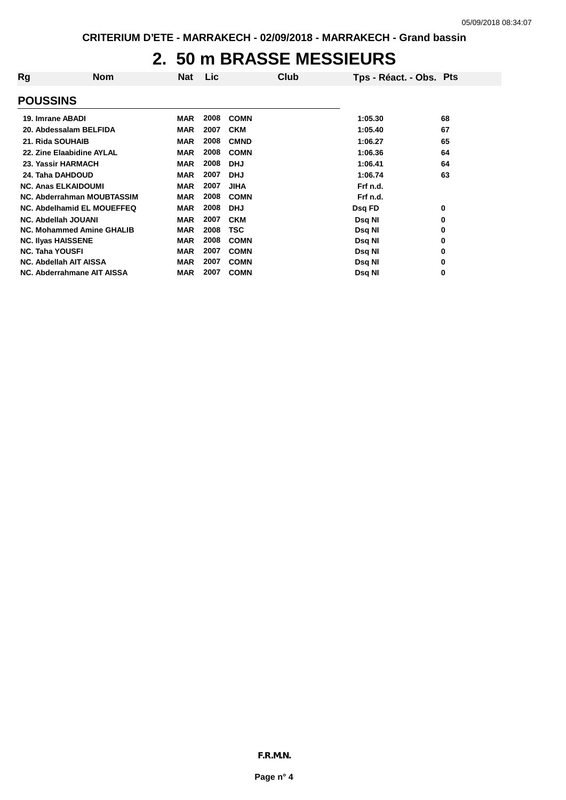### **2. 50 m BRASSE MESSIEURS**

| Rg                         | <b>Nom</b>                        | <b>Nat</b> | Lic. |             | Club | Tps - Réact. - Obs. Pts |    |
|----------------------------|-----------------------------------|------------|------|-------------|------|-------------------------|----|
| <b>POUSSINS</b>            |                                   |            |      |             |      |                         |    |
| 19. Imrane ABADI           |                                   | <b>MAR</b> | 2008 | <b>COMN</b> |      | 1:05.30                 | 68 |
|                            | 20. Abdessalam BELFIDA            | <b>MAR</b> | 2007 | <b>CKM</b>  |      | 1:05.40                 | 67 |
| 21. Rida SOUHAIB           |                                   | <b>MAR</b> | 2008 | <b>CMND</b> |      | 1:06.27                 | 65 |
|                            | 22. Zine Elaabidine AYLAL         | <b>MAR</b> | 2008 | <b>COMN</b> |      | 1:06.36                 | 64 |
| 23. Yassir HARMACH         |                                   | <b>MAR</b> | 2008 | <b>DHJ</b>  |      | 1:06.41                 | 64 |
| 24. Taha DAHDOUD           |                                   | <b>MAR</b> | 2007 | <b>DHJ</b>  |      | 1:06.74                 | 63 |
| <b>NC. Anas ELKAIDOUMI</b> |                                   | <b>MAR</b> | 2007 | <b>JIHA</b> |      | Frf n.d.                |    |
|                            | NC. Abderrahman MOUBTASSIM        | <b>MAR</b> | 2008 | <b>COMN</b> |      | Frf n.d.                |    |
|                            | <b>NC. Abdelhamid EL MOUEFFEQ</b> | <b>MAR</b> | 2008 | <b>DHJ</b>  |      | Dsq FD                  | 0  |
| NC. Abdellah JOUANI        |                                   | <b>MAR</b> | 2007 | <b>CKM</b>  |      | Dsq NI                  | 0  |
|                            | NC. Mohammed Amine GHALIB         | <b>MAR</b> | 2008 | <b>TSC</b>  |      | Dsq NI                  | 0  |
| <b>NC. Ilyas HAISSENE</b>  |                                   | <b>MAR</b> | 2008 | <b>COMN</b> |      | Dsq NI                  | 0  |
| <b>NC. Taha YOUSFI</b>     |                                   | <b>MAR</b> | 2007 | <b>COMN</b> |      | Dsq NI                  | 0  |
| NC. Abdellah AIT AISSA     |                                   | <b>MAR</b> | 2007 | <b>COMN</b> |      | Dsq NI                  | 0  |
|                            | NC. Abderrahmane AIT AISSA        | <b>MAR</b> | 2007 | <b>COMN</b> |      | Dsq NI                  | 0  |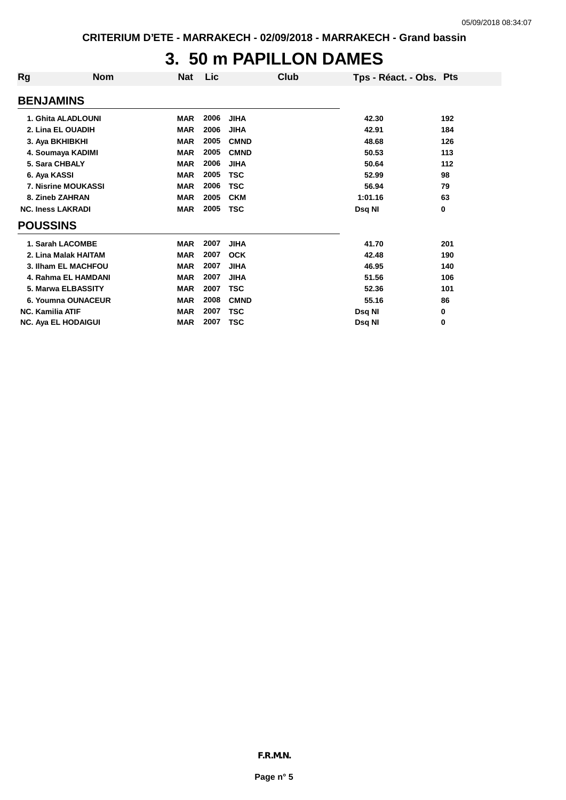## **3. 50 m PAPILLON DAMES**

**<sup>0</sup>**

| <b>Rg</b>                  | <b>Nom</b>                 | Nat        | <b>Lic</b> | Club        | Tps - Réact. - Obs. Pts |     |
|----------------------------|----------------------------|------------|------------|-------------|-------------------------|-----|
| <b>BENJAMINS</b>           |                            |            |            |             |                         |     |
|                            | 1. Ghita ALADLOUNI         | <b>MAR</b> | 2006       | <b>JIHA</b> | 42.30                   | 192 |
| 2. Lina EL OUADIH          |                            | <b>MAR</b> | 2006       | <b>JIHA</b> | 42.91                   | 184 |
| 3. Aya BKHIBKHI            |                            | <b>MAR</b> | 2005       | <b>CMND</b> | 48.68                   | 126 |
| 4. Soumaya KADIMI          |                            | <b>MAR</b> | 2005       | <b>CMND</b> | 50.53                   | 113 |
| 5. Sara CHBALY             |                            | <b>MAR</b> | 2006       | <b>JIHA</b> | 50.64                   | 112 |
| 6. Aya KASSI               |                            | <b>MAR</b> | 2005       | <b>TSC</b>  | 52.99                   | 98  |
|                            | <b>7. Nisrine MOUKASSI</b> | <b>MAR</b> | 2006       | <b>TSC</b>  | 56.94                   | 79  |
| 8. Zineb ZAHRAN            |                            | <b>MAR</b> | 2005       | <b>CKM</b>  | 1:01.16                 | 63  |
| <b>NC. Iness LAKRADI</b>   |                            | <b>MAR</b> | 2005       | <b>TSC</b>  | Dsq NI                  | 0   |
| <b>POUSSINS</b>            |                            |            |            |             |                         |     |
| 1. Sarah LACOMBE           |                            | <b>MAR</b> | 2007       | <b>JIHA</b> | 41.70                   | 201 |
|                            | 2. Lina Malak HAITAM       | <b>MAR</b> | 2007       | <b>OCK</b>  | 42.48                   | 190 |
|                            | 3. Ilham EL MACHFOU        | <b>MAR</b> | 2007       | <b>JIHA</b> | 46.95                   | 140 |
|                            | 4. Rahma EL HAMDANI        | <b>MAR</b> | 2007       | <b>JIHA</b> | 51.56                   | 106 |
|                            | 5. Marwa ELBASSITY         | <b>MAR</b> | 2007       | <b>TSC</b>  | 52.36                   | 101 |
|                            | 6. Youmna OUNACEUR         | <b>MAR</b> | 2008       | <b>CMND</b> | 55.16                   | 86  |
| <b>NC. Kamilia ATIF</b>    |                            | <b>MAR</b> | 2007       | <b>TSC</b>  | Dsq NI                  | 0   |
| <b>NC. Aya EL HODAIGUI</b> |                            | <b>MAR</b> | 2007       | <b>TSC</b>  | Dsq NI                  | 0   |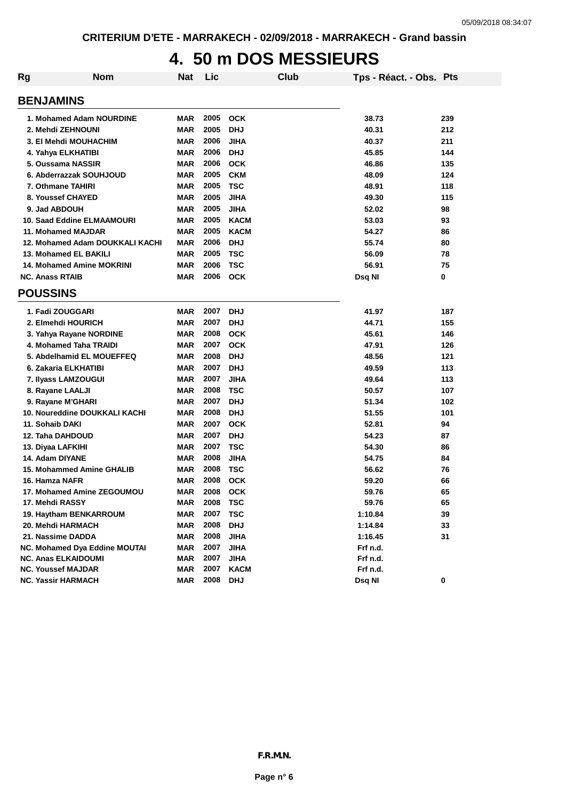## **4. 50 m DOS MESSIEURS**

| <b>Rg</b>                  | <b>Nom</b>                       | Nat                      | Lic       | Club        | Tps - Réact. - Obs. Pts |     |
|----------------------------|----------------------------------|--------------------------|-----------|-------------|-------------------------|-----|
| <b>BENJAMINS</b>           |                                  |                          |           |             |                         |     |
|                            | 1. Mohamed Adam NOURDINE         | <b>MAR</b>               | 2005      | <b>OCK</b>  | 38.73                   | 239 |
| 2. Mehdi ZEHNOUNI          |                                  | <b>MAR</b>               | 2005      | <b>DHJ</b>  | 40.31                   | 212 |
|                            | <b>3. El Mehdi MOUHACHIM</b>     | <b>MAR</b>               | 2006      | <b>JIHA</b> | 40.37                   | 211 |
| 4. Yahya ELKHATIBI         |                                  | <b>MAR</b>               | 2006      | <b>DHJ</b>  | 45.85                   | 144 |
| 5. Oussama NASSIR          |                                  | <b>MAR</b>               | 2006      | <b>OCK</b>  | 46.86                   | 135 |
|                            | 6. Abderrazzak SOUHJOUD          | <b>MAR</b>               | 2005      | <b>CKM</b>  | 48.09                   | 124 |
| 7. Othmane TAHIRI          |                                  | <b>MAR</b>               | 2005      | <b>TSC</b>  | 48.91                   | 118 |
| 8. Youssef CHAYED          |                                  | <b>MAR</b>               | 2005      | <b>JIHA</b> | 49.30                   | 115 |
| 9. Jad ABDOUH              |                                  | <b>MAR</b>               | 2005      | <b>JIHA</b> | 52.02                   | 98  |
|                            | 10. Saad Eddine ELMAAMOURI       | <b>MAR</b>               | 2005      | <b>KACM</b> | 53.03                   | 93  |
|                            | 11. Mohamed MAJDAR               | <b>MAR</b>               | 2005      | <b>KACM</b> | 54.27                   | 86  |
|                            | 12. Mohamed Adam DOUKKALI KACHI  | <b>MAR</b>               | 2006      | <b>DHJ</b>  | 55.74                   | 80  |
|                            | 13. Mohamed EL BAKILI            | <b>MAR</b>               | 2005      | <b>TSC</b>  | 56.09                   | 78  |
|                            | 14. Mohamed Amine MOKRINI        | <b>MAR</b>               | 2006      | <b>TSC</b>  | 56.91                   | 75  |
| <b>NC. Anass RTAIB</b>     |                                  | <b>MAR</b>               | 2006      | <b>OCK</b>  | Dsq NI                  | 0   |
| <b>POUSSINS</b>            |                                  |                          |           |             |                         |     |
| 1. Fadi ZOUGGARI           |                                  | <b>MAR</b>               | 2007      | <b>DHJ</b>  | 41.97                   | 187 |
|                            | 2. Elmehdi HOURICH               | <b>MAR</b>               | 2007      | <b>DHJ</b>  | 44.71                   | 155 |
|                            |                                  |                          | 2008      | <b>OCK</b>  |                         |     |
|                            | 3. Yahya Rayane NORDINE          | <b>MAR</b><br><b>MAR</b> | 2007      |             | 45.61<br>47.91          | 146 |
|                            | 4. Mohamed Taha TRAIDI           |                          |           | <b>OCK</b>  |                         | 126 |
|                            | 5. Abdelhamid EL MOUEFFEQ        | <b>MAR</b>               | 2008      | <b>DHJ</b>  | 48.56                   | 121 |
|                            | 6. Zakaria ELKHATIBI             | <b>MAR</b>               | 2007      | <b>DHJ</b>  | 49.59                   | 113 |
|                            | 7. Ilyass LAMZOUGUI              | <b>MAR</b>               | 2007      | <b>JIHA</b> | 49.64                   | 113 |
| 8. Rayane LAALJI           |                                  | MAR                      | 2008      | <b>TSC</b>  | 50.57                   | 107 |
| 9. Rayane M'GHARI          |                                  | <b>MAR</b>               | 2007      | <b>DHJ</b>  | 51.34                   | 102 |
|                            | 10. Noureddine DOUKKALI KACHI    | <b>MAR</b>               | 2008      | <b>DHJ</b>  | 51.55                   | 101 |
| 11. Sohaib DAKI            |                                  | <b>MAR</b>               | 2007      | <b>OCK</b>  | 52.81                   | 94  |
| 12. Taha DAHDOUD           |                                  | <b>MAR</b>               | 2007      | <b>DHJ</b>  | 54.23                   | 87  |
| 13. Diyaa LAFKIHI          |                                  | <b>MAR</b>               | 2007      | <b>TSC</b>  | 54.30                   | 86  |
| 14. Adam DIYANE            |                                  | <b>MAR</b>               | 2008      | <b>JIHA</b> | 54.75                   | 84  |
|                            | <b>15. Mohammed Amine GHALIB</b> | <b>MAR</b>               | 2008      | <b>TSC</b>  | 56.62                   | 76  |
| 16. Hamza NAFR             |                                  | <b>MAR</b>               | 2008      | <b>OCK</b>  | 59.20                   | 66  |
|                            | 17. Mohamed Amine ZEGOUMOU       | <b>MAR</b>               | 2008      | <b>OCK</b>  | 59.76                   | 65  |
| 17. Mehdi RASSY            |                                  | <b>MAR</b>               | 2008      | TSC         | 59.76                   | 65  |
|                            | 19. Haytham BENKARROUM           | <b>MAR</b>               | 2007      | <b>TSC</b>  | 1:10.84                 | 39  |
| 20. Mehdi HARMACH          |                                  | <b>MAR</b>               | 2008      | <b>DHJ</b>  | 1:14.84                 | 33  |
| 21. Nassime DADDA          |                                  | <b>MAR</b>               | 2008 JIHA |             | 1:16.45                 | 31  |
|                            | NC. Mohamed Dya Eddine MOUTAI    | <b>MAR</b>               | 2007      | <b>JIHA</b> | Frf n.d.                |     |
| <b>NC. Anas ELKAIDOUMI</b> |                                  | <b>MAR</b>               | 2007      | <b>JIHA</b> | Frf n.d.                |     |
| <b>NC. Youssef MAJDAR</b>  |                                  | <b>MAR</b>               | 2007      | <b>KACM</b> | Frf n.d.                |     |
|                            | <b>NC. Yassir HARMACH</b>        | <b>MAR</b>               | 2008      | <b>DHJ</b>  | Dsq NI                  | 0   |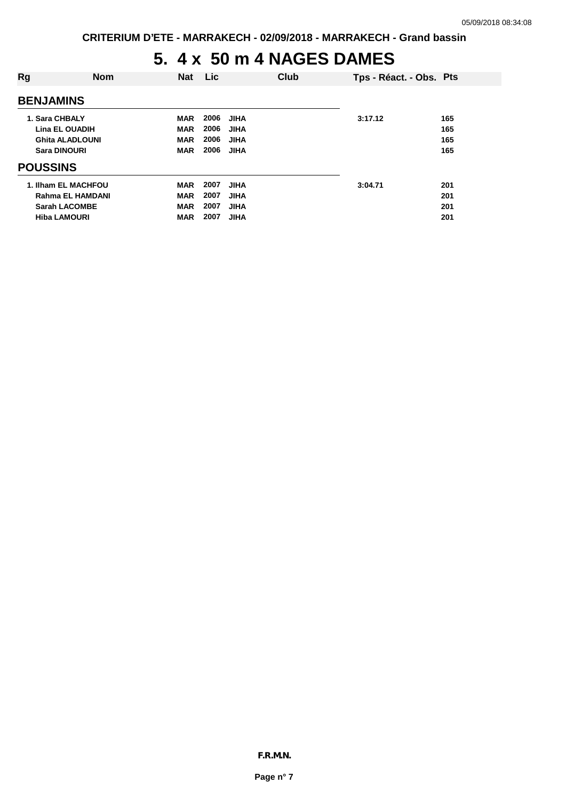## **5. 4 x 50 m 4 NAGES DAMES**

| Rg                  | <b>Nom</b>              | <b>Nat</b> | Lic.                | Club | Tps - Réact. - Obs. Pts |     |
|---------------------|-------------------------|------------|---------------------|------|-------------------------|-----|
| <b>BENJAMINS</b>    |                         |            |                     |      |                         |     |
| 1. Sara CHBALY      |                         | <b>MAR</b> | 2006<br><b>JIHA</b> |      | 3:17.12                 | 165 |
|                     | <b>Lina EL OUADIH</b>   | <b>MAR</b> | 2006<br><b>JIHA</b> |      |                         | 165 |
|                     | Ghita ALADLOUNI         | <b>MAR</b> | 2006<br><b>JIHA</b> |      |                         | 165 |
| <b>Sara DINOURI</b> |                         | <b>MAR</b> | 2006<br><b>JIHA</b> |      |                         | 165 |
| <b>POUSSINS</b>     |                         |            |                     |      |                         |     |
|                     | 1. Ilham EL MACHFOU     | <b>MAR</b> | 2007<br><b>JIHA</b> |      | 3:04.71                 | 201 |
|                     | <b>Rahma EL HAMDANI</b> | <b>MAR</b> | 2007<br><b>JIHA</b> |      |                         | 201 |
|                     | <b>Sarah LACOMBE</b>    | <b>MAR</b> | 2007<br><b>JIHA</b> |      |                         | 201 |
| <b>Hiba LAMOURI</b> |                         | <b>MAR</b> | 2007<br><b>JIHA</b> |      |                         | 201 |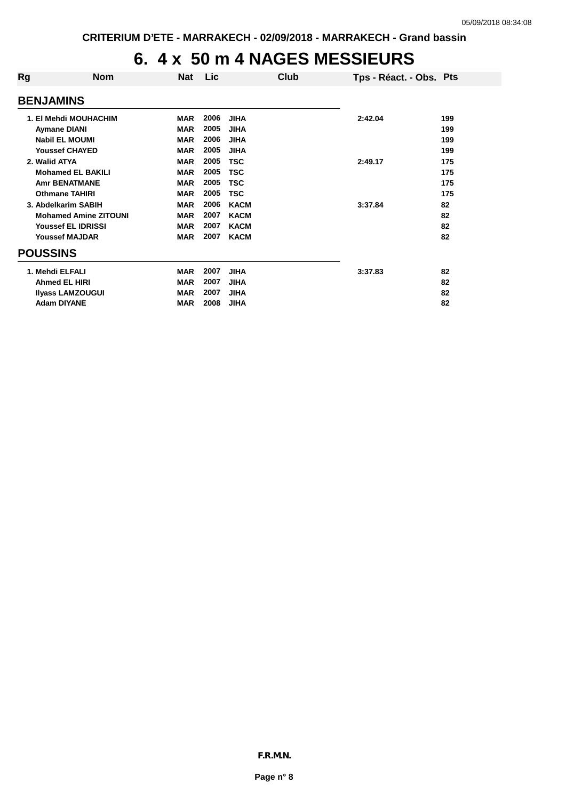## **6. 4 x 50 m 4 NAGES MESSIEURS**

| Rg               | <b>Nom</b>                   | <b>Nat</b> | Lic  | Club        | Tps - Réact. - Obs. Pts |     |
|------------------|------------------------------|------------|------|-------------|-------------------------|-----|
| <b>BENJAMINS</b> |                              |            |      |             |                         |     |
|                  | 1. El Mehdi MOUHACHIM        | <b>MAR</b> | 2006 | <b>JIHA</b> | 2:42.04                 | 199 |
|                  | <b>Aymane DIANI</b>          | <b>MAR</b> | 2005 | <b>JIHA</b> |                         | 199 |
|                  | <b>Nabil EL MOUMI</b>        | <b>MAR</b> | 2006 | <b>JIHA</b> |                         | 199 |
|                  | <b>Youssef CHAYED</b>        | <b>MAR</b> | 2005 | <b>JIHA</b> |                         | 199 |
| 2. Walid ATYA    |                              | <b>MAR</b> | 2005 | <b>TSC</b>  | 2:49.17                 | 175 |
|                  | <b>Mohamed EL BAKILI</b>     | <b>MAR</b> | 2005 | <b>TSC</b>  |                         | 175 |
|                  | <b>Amr BENATMANE</b>         | <b>MAR</b> | 2005 | <b>TSC</b>  |                         | 175 |
|                  | <b>Othmane TAHIRI</b>        | <b>MAR</b> | 2005 | <b>TSC</b>  |                         | 175 |
|                  | 3. Abdelkarim SABIH          | <b>MAR</b> | 2006 | <b>KACM</b> | 3:37.84                 | 82  |
|                  | <b>Mohamed Amine ZITOUNI</b> | <b>MAR</b> | 2007 | <b>KACM</b> |                         | 82  |
|                  | <b>Youssef EL IDRISSI</b>    | <b>MAR</b> | 2007 | <b>KACM</b> |                         | 82  |
|                  | <b>Youssef MAJDAR</b>        | <b>MAR</b> | 2007 | <b>KACM</b> |                         | 82  |
| <b>POUSSINS</b>  |                              |            |      |             |                         |     |
| 1. Mehdi ELFALI  |                              | <b>MAR</b> | 2007 | <b>JIHA</b> | 3:37.83                 | 82  |
|                  | <b>Ahmed EL HIRI</b>         | <b>MAR</b> | 2007 | <b>JIHA</b> |                         | 82  |
|                  | <b>Ilyass LAMZOUGUI</b>      | <b>MAR</b> | 2007 | <b>JIHA</b> |                         | 82  |
|                  | <b>Adam DIYANE</b>           | <b>MAR</b> | 2008 | <b>JIHA</b> |                         | 82  |
|                  |                              |            |      |             |                         |     |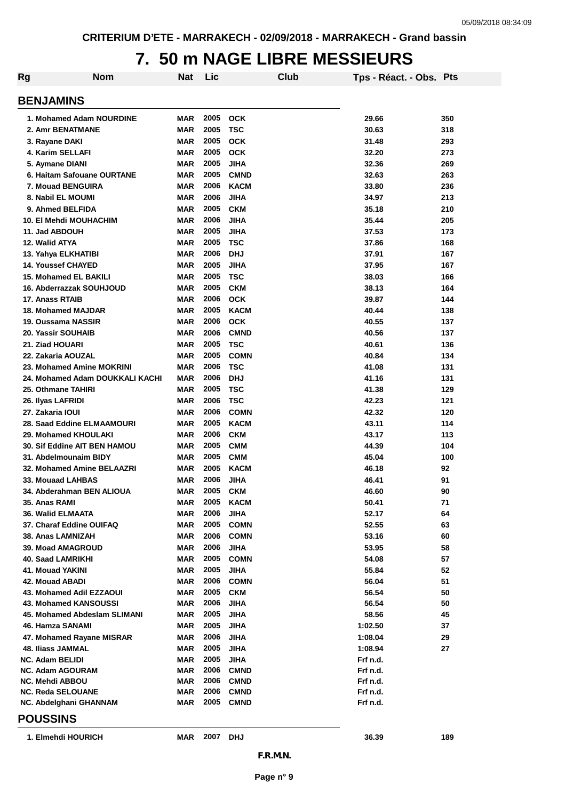## **7. 50 m NAGE LIBRE MESSIEURS**

| <b>BENJAMINS</b><br>2005<br><b>OCK</b><br>1. Mohamed Adam NOURDINE<br>MAR<br>29.66<br>350<br>2005<br><b>TSC</b><br>2. Amr BENATMANE<br>MAR<br>30.63<br>318<br>2005<br><b>MAR</b><br><b>OCK</b><br>31.48<br>293<br>3. Rayane DAKI<br>2005<br><b>OCK</b><br>4. Karim SELLAFI<br>MAR<br>32.20<br>273<br>2005<br><b>JIHA</b><br>MAR<br>32.36<br>269<br>5. Aymane DIANI<br>2005<br><b>CMND</b><br>6. Haitam Safouane OURTANE<br>MAR<br>32.63<br>263<br>2006<br>7. Mouad BENGUIRA<br>MAR<br><b>KACM</b><br>33.80<br>236<br>2006<br>8. Nabil EL MOUMI<br><b>MAR</b><br><b>JIHA</b><br>34.97<br>213<br>2005<br><b>CKM</b><br>9. Ahmed BELFIDA<br>MAR<br>35.18<br>210<br>2006<br><b>10. El Mehdi MOUHACHIM</b><br><b>MAR</b><br><b>JIHA</b><br>35.44<br>205<br>2005<br>11. Jad ABDOUH<br>MAR<br><b>JIHA</b><br>37.53<br>173<br>2005<br>12. Walid ATYA<br>MAR<br><b>TSC</b><br>37.86<br>168<br>2006<br><b>MAR</b><br><b>DHJ</b><br>13. Yahya ELKHATIBI<br>37.91<br>167<br>2005<br><b>14. Youssef CHAYED</b><br><b>MAR</b><br><b>JIHA</b><br>37.95<br>167<br>2005<br><b>TSC</b><br><b>15. Mohamed EL BAKILI</b><br>MAR<br>38.03<br>166<br>2005<br><b>CKM</b><br>38.13<br>16. Abderrazzak SOUHJOUD<br>MAR<br>164<br>2006<br>17. Anass RTAIB<br>MAR<br><b>OCK</b><br>39.87<br>144<br>2005<br>MAR<br><b>KACM</b><br>40.44<br>18. Mohamed MAJDAR<br>138<br>2006<br><b>OCK</b><br>MAR<br>40.55<br>19. Oussama NASSIR<br>137<br>2006<br>20. Yassir SOUHAIB<br>MAR<br><b>CMND</b><br>40.56<br>137<br>2005<br>21. Ziad HOUARI<br>MAR<br><b>TSC</b><br>40.61<br>136<br>2005<br>22. Zakaria AOUZAL<br>MAR<br><b>COMN</b><br>40.84<br>134<br>2006<br>23. Mohamed Amine MOKRINI<br>MAR<br><b>TSC</b><br>41.08<br>131<br>2006<br>24. Mohamed Adam DOUKKALI KACHI<br>MAR<br><b>DHJ</b><br>41.16<br>131<br>2005<br>MAR<br><b>TSC</b><br>41.38<br>129<br>25. Othmane TAHIRI<br>2006<br>MAR<br><b>TSC</b><br>42.23<br>26. Ilyas LAFRIDI<br>121<br>2006<br><b>COMN</b><br>42.32<br>27. Zakaria IOUI<br>MAR<br>120<br>2005<br>28. Saad Eddine ELMAAMOURI<br>MAR<br><b>KACM</b><br>43.11<br>114<br>2006<br>MAR<br><b>CKM</b><br>29. Mohamed KHOULAKI<br>43.17<br>113<br>2005<br>MAR<br><b>CMM</b><br>44.39<br><b>30. Sif Eddine AIT BEN HAMOU</b><br>104<br>2005<br>31. Abdelmounaim BIDY<br>MAR<br><b>CMM</b><br>45.04<br>100<br>2005<br>32. Mohamed Amine BELAAZRI<br>MAR<br><b>KACM</b><br>92<br>46.18<br>2006<br>33. Mouaad LAHBAS<br>MAR<br><b>JIHA</b><br>46.41<br>91<br><b>MAR</b><br>2005<br><b>CKM</b><br>90<br>34. Abderahman BEN ALIOUA<br>46.60<br>2005<br>35. Anas RAMI<br>MAR<br>KACM<br>50.41<br>71<br>2006<br><b>JIHA</b><br>52.17<br>36. Walid ELMAATA<br>MAR<br>64<br>37. Charaf Eddine OUIFAQ<br>2005<br><b>COMN</b><br>MAR<br>52.55<br>63<br>2006<br><b>COMN</b><br>38. Anas LAMNIZAH<br>MAR<br>53.16<br>60<br>2006<br><b>39. Moad AMAGROUD</b><br>MAR<br><b>JIHA</b><br>53.95<br>58<br>2005<br>40. Saad LAMRIKHI<br>MAR<br><b>COMN</b><br>54.08<br>57<br>2005<br>55.84<br>41. Mouad YAKINI<br>MAR<br>JIHA<br>52<br>2006<br>56.04<br>42. Mouad ABADI<br>MAR<br><b>COMN</b><br>51<br>2005<br><b>CKM</b><br>56.54<br>43. Mohamed Adil EZZAOUI<br>MAR<br>50<br>2006<br>56.54<br>43. Mohamed KANSOUSSI<br>MAR<br>JIHA<br>50<br>2005<br>45. Mohamed Abdeslam SLIMANI<br>MAR<br>JIHA<br>58.56<br>45<br>2005<br>46. Hamza SANAMI<br>MAR<br>JIHA<br>1:02.50<br>37<br>2006<br>47. Mohamed Rayane MISRAR<br>MAR<br>JIHA<br>1:08.04<br>29<br>2005<br><b>JIHA</b><br>48. Iliass JAMMAL<br>MAR<br>1:08.94<br>27<br>2005<br><b>NC. Adam BELIDI</b><br><b>JIHA</b><br>Frf n.d.<br>MAR<br>2006<br><b>CMND</b><br><b>NC. Adam AGOURAM</b><br>MAR<br>Frf n.d.<br>2006<br><b>NC. Mehdi ABBOU</b><br>MAR<br><b>CMND</b><br>Frf n.d.<br>2006<br>Frf n.d.<br><b>NC. Reda SELOUANE</b><br>MAR<br><b>CMND</b><br>2005<br>MAR<br><b>CMND</b><br>Frf n.d.<br>NC. Abdelghani GHANNAM<br><b>POUSSINS</b><br>2007<br>1. Elmehdi HOURICH<br>MAR<br>DHJ<br>36.39<br>189<br>F.R.M.N.<br>Page n° 9 | Rg<br><b>Nom</b> | Nat | Lic | Club | Tps - Réact. - Obs. Pts |  |
|--------------------------------------------------------------------------------------------------------------------------------------------------------------------------------------------------------------------------------------------------------------------------------------------------------------------------------------------------------------------------------------------------------------------------------------------------------------------------------------------------------------------------------------------------------------------------------------------------------------------------------------------------------------------------------------------------------------------------------------------------------------------------------------------------------------------------------------------------------------------------------------------------------------------------------------------------------------------------------------------------------------------------------------------------------------------------------------------------------------------------------------------------------------------------------------------------------------------------------------------------------------------------------------------------------------------------------------------------------------------------------------------------------------------------------------------------------------------------------------------------------------------------------------------------------------------------------------------------------------------------------------------------------------------------------------------------------------------------------------------------------------------------------------------------------------------------------------------------------------------------------------------------------------------------------------------------------------------------------------------------------------------------------------------------------------------------------------------------------------------------------------------------------------------------------------------------------------------------------------------------------------------------------------------------------------------------------------------------------------------------------------------------------------------------------------------------------------------------------------------------------------------------------------------------------------------------------------------------------------------------------------------------------------------------------------------------------------------------------------------------------------------------------------------------------------------------------------------------------------------------------------------------------------------------------------------------------------------------------------------------------------------------------------------------------------------------------------------------------------------------------------------------------------------------------------------------------------------------------------------------------------------------------------------------------------------------------------------------------------------------------------------------------------------------------------------------------------------------------------------------------------------------------------------------------------------------------------------------------------------------------------------------------------------------------------------------------------------------------------------------------------------------------------------------------------------------------------------------------------------------------------------------------------------------------------------------------|------------------|-----|-----|------|-------------------------|--|
|                                                                                                                                                                                                                                                                                                                                                                                                                                                                                                                                                                                                                                                                                                                                                                                                                                                                                                                                                                                                                                                                                                                                                                                                                                                                                                                                                                                                                                                                                                                                                                                                                                                                                                                                                                                                                                                                                                                                                                                                                                                                                                                                                                                                                                                                                                                                                                                                                                                                                                                                                                                                                                                                                                                                                                                                                                                                                                                                                                                                                                                                                                                                                                                                                                                                                                                                                                                                                                                                                                                                                                                                                                                                                                                                                                                                                                                                                                                                                        |                  |     |     |      |                         |  |
|                                                                                                                                                                                                                                                                                                                                                                                                                                                                                                                                                                                                                                                                                                                                                                                                                                                                                                                                                                                                                                                                                                                                                                                                                                                                                                                                                                                                                                                                                                                                                                                                                                                                                                                                                                                                                                                                                                                                                                                                                                                                                                                                                                                                                                                                                                                                                                                                                                                                                                                                                                                                                                                                                                                                                                                                                                                                                                                                                                                                                                                                                                                                                                                                                                                                                                                                                                                                                                                                                                                                                                                                                                                                                                                                                                                                                                                                                                                                                        |                  |     |     |      |                         |  |
|                                                                                                                                                                                                                                                                                                                                                                                                                                                                                                                                                                                                                                                                                                                                                                                                                                                                                                                                                                                                                                                                                                                                                                                                                                                                                                                                                                                                                                                                                                                                                                                                                                                                                                                                                                                                                                                                                                                                                                                                                                                                                                                                                                                                                                                                                                                                                                                                                                                                                                                                                                                                                                                                                                                                                                                                                                                                                                                                                                                                                                                                                                                                                                                                                                                                                                                                                                                                                                                                                                                                                                                                                                                                                                                                                                                                                                                                                                                                                        |                  |     |     |      |                         |  |
|                                                                                                                                                                                                                                                                                                                                                                                                                                                                                                                                                                                                                                                                                                                                                                                                                                                                                                                                                                                                                                                                                                                                                                                                                                                                                                                                                                                                                                                                                                                                                                                                                                                                                                                                                                                                                                                                                                                                                                                                                                                                                                                                                                                                                                                                                                                                                                                                                                                                                                                                                                                                                                                                                                                                                                                                                                                                                                                                                                                                                                                                                                                                                                                                                                                                                                                                                                                                                                                                                                                                                                                                                                                                                                                                                                                                                                                                                                                                                        |                  |     |     |      |                         |  |
|                                                                                                                                                                                                                                                                                                                                                                                                                                                                                                                                                                                                                                                                                                                                                                                                                                                                                                                                                                                                                                                                                                                                                                                                                                                                                                                                                                                                                                                                                                                                                                                                                                                                                                                                                                                                                                                                                                                                                                                                                                                                                                                                                                                                                                                                                                                                                                                                                                                                                                                                                                                                                                                                                                                                                                                                                                                                                                                                                                                                                                                                                                                                                                                                                                                                                                                                                                                                                                                                                                                                                                                                                                                                                                                                                                                                                                                                                                                                                        |                  |     |     |      |                         |  |
|                                                                                                                                                                                                                                                                                                                                                                                                                                                                                                                                                                                                                                                                                                                                                                                                                                                                                                                                                                                                                                                                                                                                                                                                                                                                                                                                                                                                                                                                                                                                                                                                                                                                                                                                                                                                                                                                                                                                                                                                                                                                                                                                                                                                                                                                                                                                                                                                                                                                                                                                                                                                                                                                                                                                                                                                                                                                                                                                                                                                                                                                                                                                                                                                                                                                                                                                                                                                                                                                                                                                                                                                                                                                                                                                                                                                                                                                                                                                                        |                  |     |     |      |                         |  |
|                                                                                                                                                                                                                                                                                                                                                                                                                                                                                                                                                                                                                                                                                                                                                                                                                                                                                                                                                                                                                                                                                                                                                                                                                                                                                                                                                                                                                                                                                                                                                                                                                                                                                                                                                                                                                                                                                                                                                                                                                                                                                                                                                                                                                                                                                                                                                                                                                                                                                                                                                                                                                                                                                                                                                                                                                                                                                                                                                                                                                                                                                                                                                                                                                                                                                                                                                                                                                                                                                                                                                                                                                                                                                                                                                                                                                                                                                                                                                        |                  |     |     |      |                         |  |
|                                                                                                                                                                                                                                                                                                                                                                                                                                                                                                                                                                                                                                                                                                                                                                                                                                                                                                                                                                                                                                                                                                                                                                                                                                                                                                                                                                                                                                                                                                                                                                                                                                                                                                                                                                                                                                                                                                                                                                                                                                                                                                                                                                                                                                                                                                                                                                                                                                                                                                                                                                                                                                                                                                                                                                                                                                                                                                                                                                                                                                                                                                                                                                                                                                                                                                                                                                                                                                                                                                                                                                                                                                                                                                                                                                                                                                                                                                                                                        |                  |     |     |      |                         |  |
|                                                                                                                                                                                                                                                                                                                                                                                                                                                                                                                                                                                                                                                                                                                                                                                                                                                                                                                                                                                                                                                                                                                                                                                                                                                                                                                                                                                                                                                                                                                                                                                                                                                                                                                                                                                                                                                                                                                                                                                                                                                                                                                                                                                                                                                                                                                                                                                                                                                                                                                                                                                                                                                                                                                                                                                                                                                                                                                                                                                                                                                                                                                                                                                                                                                                                                                                                                                                                                                                                                                                                                                                                                                                                                                                                                                                                                                                                                                                                        |                  |     |     |      |                         |  |
|                                                                                                                                                                                                                                                                                                                                                                                                                                                                                                                                                                                                                                                                                                                                                                                                                                                                                                                                                                                                                                                                                                                                                                                                                                                                                                                                                                                                                                                                                                                                                                                                                                                                                                                                                                                                                                                                                                                                                                                                                                                                                                                                                                                                                                                                                                                                                                                                                                                                                                                                                                                                                                                                                                                                                                                                                                                                                                                                                                                                                                                                                                                                                                                                                                                                                                                                                                                                                                                                                                                                                                                                                                                                                                                                                                                                                                                                                                                                                        |                  |     |     |      |                         |  |
|                                                                                                                                                                                                                                                                                                                                                                                                                                                                                                                                                                                                                                                                                                                                                                                                                                                                                                                                                                                                                                                                                                                                                                                                                                                                                                                                                                                                                                                                                                                                                                                                                                                                                                                                                                                                                                                                                                                                                                                                                                                                                                                                                                                                                                                                                                                                                                                                                                                                                                                                                                                                                                                                                                                                                                                                                                                                                                                                                                                                                                                                                                                                                                                                                                                                                                                                                                                                                                                                                                                                                                                                                                                                                                                                                                                                                                                                                                                                                        |                  |     |     |      |                         |  |
|                                                                                                                                                                                                                                                                                                                                                                                                                                                                                                                                                                                                                                                                                                                                                                                                                                                                                                                                                                                                                                                                                                                                                                                                                                                                                                                                                                                                                                                                                                                                                                                                                                                                                                                                                                                                                                                                                                                                                                                                                                                                                                                                                                                                                                                                                                                                                                                                                                                                                                                                                                                                                                                                                                                                                                                                                                                                                                                                                                                                                                                                                                                                                                                                                                                                                                                                                                                                                                                                                                                                                                                                                                                                                                                                                                                                                                                                                                                                                        |                  |     |     |      |                         |  |
|                                                                                                                                                                                                                                                                                                                                                                                                                                                                                                                                                                                                                                                                                                                                                                                                                                                                                                                                                                                                                                                                                                                                                                                                                                                                                                                                                                                                                                                                                                                                                                                                                                                                                                                                                                                                                                                                                                                                                                                                                                                                                                                                                                                                                                                                                                                                                                                                                                                                                                                                                                                                                                                                                                                                                                                                                                                                                                                                                                                                                                                                                                                                                                                                                                                                                                                                                                                                                                                                                                                                                                                                                                                                                                                                                                                                                                                                                                                                                        |                  |     |     |      |                         |  |
|                                                                                                                                                                                                                                                                                                                                                                                                                                                                                                                                                                                                                                                                                                                                                                                                                                                                                                                                                                                                                                                                                                                                                                                                                                                                                                                                                                                                                                                                                                                                                                                                                                                                                                                                                                                                                                                                                                                                                                                                                                                                                                                                                                                                                                                                                                                                                                                                                                                                                                                                                                                                                                                                                                                                                                                                                                                                                                                                                                                                                                                                                                                                                                                                                                                                                                                                                                                                                                                                                                                                                                                                                                                                                                                                                                                                                                                                                                                                                        |                  |     |     |      |                         |  |
|                                                                                                                                                                                                                                                                                                                                                                                                                                                                                                                                                                                                                                                                                                                                                                                                                                                                                                                                                                                                                                                                                                                                                                                                                                                                                                                                                                                                                                                                                                                                                                                                                                                                                                                                                                                                                                                                                                                                                                                                                                                                                                                                                                                                                                                                                                                                                                                                                                                                                                                                                                                                                                                                                                                                                                                                                                                                                                                                                                                                                                                                                                                                                                                                                                                                                                                                                                                                                                                                                                                                                                                                                                                                                                                                                                                                                                                                                                                                                        |                  |     |     |      |                         |  |
|                                                                                                                                                                                                                                                                                                                                                                                                                                                                                                                                                                                                                                                                                                                                                                                                                                                                                                                                                                                                                                                                                                                                                                                                                                                                                                                                                                                                                                                                                                                                                                                                                                                                                                                                                                                                                                                                                                                                                                                                                                                                                                                                                                                                                                                                                                                                                                                                                                                                                                                                                                                                                                                                                                                                                                                                                                                                                                                                                                                                                                                                                                                                                                                                                                                                                                                                                                                                                                                                                                                                                                                                                                                                                                                                                                                                                                                                                                                                                        |                  |     |     |      |                         |  |
|                                                                                                                                                                                                                                                                                                                                                                                                                                                                                                                                                                                                                                                                                                                                                                                                                                                                                                                                                                                                                                                                                                                                                                                                                                                                                                                                                                                                                                                                                                                                                                                                                                                                                                                                                                                                                                                                                                                                                                                                                                                                                                                                                                                                                                                                                                                                                                                                                                                                                                                                                                                                                                                                                                                                                                                                                                                                                                                                                                                                                                                                                                                                                                                                                                                                                                                                                                                                                                                                                                                                                                                                                                                                                                                                                                                                                                                                                                                                                        |                  |     |     |      |                         |  |
|                                                                                                                                                                                                                                                                                                                                                                                                                                                                                                                                                                                                                                                                                                                                                                                                                                                                                                                                                                                                                                                                                                                                                                                                                                                                                                                                                                                                                                                                                                                                                                                                                                                                                                                                                                                                                                                                                                                                                                                                                                                                                                                                                                                                                                                                                                                                                                                                                                                                                                                                                                                                                                                                                                                                                                                                                                                                                                                                                                                                                                                                                                                                                                                                                                                                                                                                                                                                                                                                                                                                                                                                                                                                                                                                                                                                                                                                                                                                                        |                  |     |     |      |                         |  |
|                                                                                                                                                                                                                                                                                                                                                                                                                                                                                                                                                                                                                                                                                                                                                                                                                                                                                                                                                                                                                                                                                                                                                                                                                                                                                                                                                                                                                                                                                                                                                                                                                                                                                                                                                                                                                                                                                                                                                                                                                                                                                                                                                                                                                                                                                                                                                                                                                                                                                                                                                                                                                                                                                                                                                                                                                                                                                                                                                                                                                                                                                                                                                                                                                                                                                                                                                                                                                                                                                                                                                                                                                                                                                                                                                                                                                                                                                                                                                        |                  |     |     |      |                         |  |
|                                                                                                                                                                                                                                                                                                                                                                                                                                                                                                                                                                                                                                                                                                                                                                                                                                                                                                                                                                                                                                                                                                                                                                                                                                                                                                                                                                                                                                                                                                                                                                                                                                                                                                                                                                                                                                                                                                                                                                                                                                                                                                                                                                                                                                                                                                                                                                                                                                                                                                                                                                                                                                                                                                                                                                                                                                                                                                                                                                                                                                                                                                                                                                                                                                                                                                                                                                                                                                                                                                                                                                                                                                                                                                                                                                                                                                                                                                                                                        |                  |     |     |      |                         |  |
|                                                                                                                                                                                                                                                                                                                                                                                                                                                                                                                                                                                                                                                                                                                                                                                                                                                                                                                                                                                                                                                                                                                                                                                                                                                                                                                                                                                                                                                                                                                                                                                                                                                                                                                                                                                                                                                                                                                                                                                                                                                                                                                                                                                                                                                                                                                                                                                                                                                                                                                                                                                                                                                                                                                                                                                                                                                                                                                                                                                                                                                                                                                                                                                                                                                                                                                                                                                                                                                                                                                                                                                                                                                                                                                                                                                                                                                                                                                                                        |                  |     |     |      |                         |  |
|                                                                                                                                                                                                                                                                                                                                                                                                                                                                                                                                                                                                                                                                                                                                                                                                                                                                                                                                                                                                                                                                                                                                                                                                                                                                                                                                                                                                                                                                                                                                                                                                                                                                                                                                                                                                                                                                                                                                                                                                                                                                                                                                                                                                                                                                                                                                                                                                                                                                                                                                                                                                                                                                                                                                                                                                                                                                                                                                                                                                                                                                                                                                                                                                                                                                                                                                                                                                                                                                                                                                                                                                                                                                                                                                                                                                                                                                                                                                                        |                  |     |     |      |                         |  |
|                                                                                                                                                                                                                                                                                                                                                                                                                                                                                                                                                                                                                                                                                                                                                                                                                                                                                                                                                                                                                                                                                                                                                                                                                                                                                                                                                                                                                                                                                                                                                                                                                                                                                                                                                                                                                                                                                                                                                                                                                                                                                                                                                                                                                                                                                                                                                                                                                                                                                                                                                                                                                                                                                                                                                                                                                                                                                                                                                                                                                                                                                                                                                                                                                                                                                                                                                                                                                                                                                                                                                                                                                                                                                                                                                                                                                                                                                                                                                        |                  |     |     |      |                         |  |
|                                                                                                                                                                                                                                                                                                                                                                                                                                                                                                                                                                                                                                                                                                                                                                                                                                                                                                                                                                                                                                                                                                                                                                                                                                                                                                                                                                                                                                                                                                                                                                                                                                                                                                                                                                                                                                                                                                                                                                                                                                                                                                                                                                                                                                                                                                                                                                                                                                                                                                                                                                                                                                                                                                                                                                                                                                                                                                                                                                                                                                                                                                                                                                                                                                                                                                                                                                                                                                                                                                                                                                                                                                                                                                                                                                                                                                                                                                                                                        |                  |     |     |      |                         |  |
|                                                                                                                                                                                                                                                                                                                                                                                                                                                                                                                                                                                                                                                                                                                                                                                                                                                                                                                                                                                                                                                                                                                                                                                                                                                                                                                                                                                                                                                                                                                                                                                                                                                                                                                                                                                                                                                                                                                                                                                                                                                                                                                                                                                                                                                                                                                                                                                                                                                                                                                                                                                                                                                                                                                                                                                                                                                                                                                                                                                                                                                                                                                                                                                                                                                                                                                                                                                                                                                                                                                                                                                                                                                                                                                                                                                                                                                                                                                                                        |                  |     |     |      |                         |  |
|                                                                                                                                                                                                                                                                                                                                                                                                                                                                                                                                                                                                                                                                                                                                                                                                                                                                                                                                                                                                                                                                                                                                                                                                                                                                                                                                                                                                                                                                                                                                                                                                                                                                                                                                                                                                                                                                                                                                                                                                                                                                                                                                                                                                                                                                                                                                                                                                                                                                                                                                                                                                                                                                                                                                                                                                                                                                                                                                                                                                                                                                                                                                                                                                                                                                                                                                                                                                                                                                                                                                                                                                                                                                                                                                                                                                                                                                                                                                                        |                  |     |     |      |                         |  |
|                                                                                                                                                                                                                                                                                                                                                                                                                                                                                                                                                                                                                                                                                                                                                                                                                                                                                                                                                                                                                                                                                                                                                                                                                                                                                                                                                                                                                                                                                                                                                                                                                                                                                                                                                                                                                                                                                                                                                                                                                                                                                                                                                                                                                                                                                                                                                                                                                                                                                                                                                                                                                                                                                                                                                                                                                                                                                                                                                                                                                                                                                                                                                                                                                                                                                                                                                                                                                                                                                                                                                                                                                                                                                                                                                                                                                                                                                                                                                        |                  |     |     |      |                         |  |
|                                                                                                                                                                                                                                                                                                                                                                                                                                                                                                                                                                                                                                                                                                                                                                                                                                                                                                                                                                                                                                                                                                                                                                                                                                                                                                                                                                                                                                                                                                                                                                                                                                                                                                                                                                                                                                                                                                                                                                                                                                                                                                                                                                                                                                                                                                                                                                                                                                                                                                                                                                                                                                                                                                                                                                                                                                                                                                                                                                                                                                                                                                                                                                                                                                                                                                                                                                                                                                                                                                                                                                                                                                                                                                                                                                                                                                                                                                                                                        |                  |     |     |      |                         |  |
|                                                                                                                                                                                                                                                                                                                                                                                                                                                                                                                                                                                                                                                                                                                                                                                                                                                                                                                                                                                                                                                                                                                                                                                                                                                                                                                                                                                                                                                                                                                                                                                                                                                                                                                                                                                                                                                                                                                                                                                                                                                                                                                                                                                                                                                                                                                                                                                                                                                                                                                                                                                                                                                                                                                                                                                                                                                                                                                                                                                                                                                                                                                                                                                                                                                                                                                                                                                                                                                                                                                                                                                                                                                                                                                                                                                                                                                                                                                                                        |                  |     |     |      |                         |  |
|                                                                                                                                                                                                                                                                                                                                                                                                                                                                                                                                                                                                                                                                                                                                                                                                                                                                                                                                                                                                                                                                                                                                                                                                                                                                                                                                                                                                                                                                                                                                                                                                                                                                                                                                                                                                                                                                                                                                                                                                                                                                                                                                                                                                                                                                                                                                                                                                                                                                                                                                                                                                                                                                                                                                                                                                                                                                                                                                                                                                                                                                                                                                                                                                                                                                                                                                                                                                                                                                                                                                                                                                                                                                                                                                                                                                                                                                                                                                                        |                  |     |     |      |                         |  |
|                                                                                                                                                                                                                                                                                                                                                                                                                                                                                                                                                                                                                                                                                                                                                                                                                                                                                                                                                                                                                                                                                                                                                                                                                                                                                                                                                                                                                                                                                                                                                                                                                                                                                                                                                                                                                                                                                                                                                                                                                                                                                                                                                                                                                                                                                                                                                                                                                                                                                                                                                                                                                                                                                                                                                                                                                                                                                                                                                                                                                                                                                                                                                                                                                                                                                                                                                                                                                                                                                                                                                                                                                                                                                                                                                                                                                                                                                                                                                        |                  |     |     |      |                         |  |
|                                                                                                                                                                                                                                                                                                                                                                                                                                                                                                                                                                                                                                                                                                                                                                                                                                                                                                                                                                                                                                                                                                                                                                                                                                                                                                                                                                                                                                                                                                                                                                                                                                                                                                                                                                                                                                                                                                                                                                                                                                                                                                                                                                                                                                                                                                                                                                                                                                                                                                                                                                                                                                                                                                                                                                                                                                                                                                                                                                                                                                                                                                                                                                                                                                                                                                                                                                                                                                                                                                                                                                                                                                                                                                                                                                                                                                                                                                                                                        |                  |     |     |      |                         |  |
|                                                                                                                                                                                                                                                                                                                                                                                                                                                                                                                                                                                                                                                                                                                                                                                                                                                                                                                                                                                                                                                                                                                                                                                                                                                                                                                                                                                                                                                                                                                                                                                                                                                                                                                                                                                                                                                                                                                                                                                                                                                                                                                                                                                                                                                                                                                                                                                                                                                                                                                                                                                                                                                                                                                                                                                                                                                                                                                                                                                                                                                                                                                                                                                                                                                                                                                                                                                                                                                                                                                                                                                                                                                                                                                                                                                                                                                                                                                                                        |                  |     |     |      |                         |  |
|                                                                                                                                                                                                                                                                                                                                                                                                                                                                                                                                                                                                                                                                                                                                                                                                                                                                                                                                                                                                                                                                                                                                                                                                                                                                                                                                                                                                                                                                                                                                                                                                                                                                                                                                                                                                                                                                                                                                                                                                                                                                                                                                                                                                                                                                                                                                                                                                                                                                                                                                                                                                                                                                                                                                                                                                                                                                                                                                                                                                                                                                                                                                                                                                                                                                                                                                                                                                                                                                                                                                                                                                                                                                                                                                                                                                                                                                                                                                                        |                  |     |     |      |                         |  |
|                                                                                                                                                                                                                                                                                                                                                                                                                                                                                                                                                                                                                                                                                                                                                                                                                                                                                                                                                                                                                                                                                                                                                                                                                                                                                                                                                                                                                                                                                                                                                                                                                                                                                                                                                                                                                                                                                                                                                                                                                                                                                                                                                                                                                                                                                                                                                                                                                                                                                                                                                                                                                                                                                                                                                                                                                                                                                                                                                                                                                                                                                                                                                                                                                                                                                                                                                                                                                                                                                                                                                                                                                                                                                                                                                                                                                                                                                                                                                        |                  |     |     |      |                         |  |
|                                                                                                                                                                                                                                                                                                                                                                                                                                                                                                                                                                                                                                                                                                                                                                                                                                                                                                                                                                                                                                                                                                                                                                                                                                                                                                                                                                                                                                                                                                                                                                                                                                                                                                                                                                                                                                                                                                                                                                                                                                                                                                                                                                                                                                                                                                                                                                                                                                                                                                                                                                                                                                                                                                                                                                                                                                                                                                                                                                                                                                                                                                                                                                                                                                                                                                                                                                                                                                                                                                                                                                                                                                                                                                                                                                                                                                                                                                                                                        |                  |     |     |      |                         |  |
|                                                                                                                                                                                                                                                                                                                                                                                                                                                                                                                                                                                                                                                                                                                                                                                                                                                                                                                                                                                                                                                                                                                                                                                                                                                                                                                                                                                                                                                                                                                                                                                                                                                                                                                                                                                                                                                                                                                                                                                                                                                                                                                                                                                                                                                                                                                                                                                                                                                                                                                                                                                                                                                                                                                                                                                                                                                                                                                                                                                                                                                                                                                                                                                                                                                                                                                                                                                                                                                                                                                                                                                                                                                                                                                                                                                                                                                                                                                                                        |                  |     |     |      |                         |  |
|                                                                                                                                                                                                                                                                                                                                                                                                                                                                                                                                                                                                                                                                                                                                                                                                                                                                                                                                                                                                                                                                                                                                                                                                                                                                                                                                                                                                                                                                                                                                                                                                                                                                                                                                                                                                                                                                                                                                                                                                                                                                                                                                                                                                                                                                                                                                                                                                                                                                                                                                                                                                                                                                                                                                                                                                                                                                                                                                                                                                                                                                                                                                                                                                                                                                                                                                                                                                                                                                                                                                                                                                                                                                                                                                                                                                                                                                                                                                                        |                  |     |     |      |                         |  |
|                                                                                                                                                                                                                                                                                                                                                                                                                                                                                                                                                                                                                                                                                                                                                                                                                                                                                                                                                                                                                                                                                                                                                                                                                                                                                                                                                                                                                                                                                                                                                                                                                                                                                                                                                                                                                                                                                                                                                                                                                                                                                                                                                                                                                                                                                                                                                                                                                                                                                                                                                                                                                                                                                                                                                                                                                                                                                                                                                                                                                                                                                                                                                                                                                                                                                                                                                                                                                                                                                                                                                                                                                                                                                                                                                                                                                                                                                                                                                        |                  |     |     |      |                         |  |
|                                                                                                                                                                                                                                                                                                                                                                                                                                                                                                                                                                                                                                                                                                                                                                                                                                                                                                                                                                                                                                                                                                                                                                                                                                                                                                                                                                                                                                                                                                                                                                                                                                                                                                                                                                                                                                                                                                                                                                                                                                                                                                                                                                                                                                                                                                                                                                                                                                                                                                                                                                                                                                                                                                                                                                                                                                                                                                                                                                                                                                                                                                                                                                                                                                                                                                                                                                                                                                                                                                                                                                                                                                                                                                                                                                                                                                                                                                                                                        |                  |     |     |      |                         |  |
|                                                                                                                                                                                                                                                                                                                                                                                                                                                                                                                                                                                                                                                                                                                                                                                                                                                                                                                                                                                                                                                                                                                                                                                                                                                                                                                                                                                                                                                                                                                                                                                                                                                                                                                                                                                                                                                                                                                                                                                                                                                                                                                                                                                                                                                                                                                                                                                                                                                                                                                                                                                                                                                                                                                                                                                                                                                                                                                                                                                                                                                                                                                                                                                                                                                                                                                                                                                                                                                                                                                                                                                                                                                                                                                                                                                                                                                                                                                                                        |                  |     |     |      |                         |  |
|                                                                                                                                                                                                                                                                                                                                                                                                                                                                                                                                                                                                                                                                                                                                                                                                                                                                                                                                                                                                                                                                                                                                                                                                                                                                                                                                                                                                                                                                                                                                                                                                                                                                                                                                                                                                                                                                                                                                                                                                                                                                                                                                                                                                                                                                                                                                                                                                                                                                                                                                                                                                                                                                                                                                                                                                                                                                                                                                                                                                                                                                                                                                                                                                                                                                                                                                                                                                                                                                                                                                                                                                                                                                                                                                                                                                                                                                                                                                                        |                  |     |     |      |                         |  |
|                                                                                                                                                                                                                                                                                                                                                                                                                                                                                                                                                                                                                                                                                                                                                                                                                                                                                                                                                                                                                                                                                                                                                                                                                                                                                                                                                                                                                                                                                                                                                                                                                                                                                                                                                                                                                                                                                                                                                                                                                                                                                                                                                                                                                                                                                                                                                                                                                                                                                                                                                                                                                                                                                                                                                                                                                                                                                                                                                                                                                                                                                                                                                                                                                                                                                                                                                                                                                                                                                                                                                                                                                                                                                                                                                                                                                                                                                                                                                        |                  |     |     |      |                         |  |
|                                                                                                                                                                                                                                                                                                                                                                                                                                                                                                                                                                                                                                                                                                                                                                                                                                                                                                                                                                                                                                                                                                                                                                                                                                                                                                                                                                                                                                                                                                                                                                                                                                                                                                                                                                                                                                                                                                                                                                                                                                                                                                                                                                                                                                                                                                                                                                                                                                                                                                                                                                                                                                                                                                                                                                                                                                                                                                                                                                                                                                                                                                                                                                                                                                                                                                                                                                                                                                                                                                                                                                                                                                                                                                                                                                                                                                                                                                                                                        |                  |     |     |      |                         |  |
|                                                                                                                                                                                                                                                                                                                                                                                                                                                                                                                                                                                                                                                                                                                                                                                                                                                                                                                                                                                                                                                                                                                                                                                                                                                                                                                                                                                                                                                                                                                                                                                                                                                                                                                                                                                                                                                                                                                                                                                                                                                                                                                                                                                                                                                                                                                                                                                                                                                                                                                                                                                                                                                                                                                                                                                                                                                                                                                                                                                                                                                                                                                                                                                                                                                                                                                                                                                                                                                                                                                                                                                                                                                                                                                                                                                                                                                                                                                                                        |                  |     |     |      |                         |  |
|                                                                                                                                                                                                                                                                                                                                                                                                                                                                                                                                                                                                                                                                                                                                                                                                                                                                                                                                                                                                                                                                                                                                                                                                                                                                                                                                                                                                                                                                                                                                                                                                                                                                                                                                                                                                                                                                                                                                                                                                                                                                                                                                                                                                                                                                                                                                                                                                                                                                                                                                                                                                                                                                                                                                                                                                                                                                                                                                                                                                                                                                                                                                                                                                                                                                                                                                                                                                                                                                                                                                                                                                                                                                                                                                                                                                                                                                                                                                                        |                  |     |     |      |                         |  |
|                                                                                                                                                                                                                                                                                                                                                                                                                                                                                                                                                                                                                                                                                                                                                                                                                                                                                                                                                                                                                                                                                                                                                                                                                                                                                                                                                                                                                                                                                                                                                                                                                                                                                                                                                                                                                                                                                                                                                                                                                                                                                                                                                                                                                                                                                                                                                                                                                                                                                                                                                                                                                                                                                                                                                                                                                                                                                                                                                                                                                                                                                                                                                                                                                                                                                                                                                                                                                                                                                                                                                                                                                                                                                                                                                                                                                                                                                                                                                        |                  |     |     |      |                         |  |
|                                                                                                                                                                                                                                                                                                                                                                                                                                                                                                                                                                                                                                                                                                                                                                                                                                                                                                                                                                                                                                                                                                                                                                                                                                                                                                                                                                                                                                                                                                                                                                                                                                                                                                                                                                                                                                                                                                                                                                                                                                                                                                                                                                                                                                                                                                                                                                                                                                                                                                                                                                                                                                                                                                                                                                                                                                                                                                                                                                                                                                                                                                                                                                                                                                                                                                                                                                                                                                                                                                                                                                                                                                                                                                                                                                                                                                                                                                                                                        |                  |     |     |      |                         |  |
|                                                                                                                                                                                                                                                                                                                                                                                                                                                                                                                                                                                                                                                                                                                                                                                                                                                                                                                                                                                                                                                                                                                                                                                                                                                                                                                                                                                                                                                                                                                                                                                                                                                                                                                                                                                                                                                                                                                                                                                                                                                                                                                                                                                                                                                                                                                                                                                                                                                                                                                                                                                                                                                                                                                                                                                                                                                                                                                                                                                                                                                                                                                                                                                                                                                                                                                                                                                                                                                                                                                                                                                                                                                                                                                                                                                                                                                                                                                                                        |                  |     |     |      |                         |  |
|                                                                                                                                                                                                                                                                                                                                                                                                                                                                                                                                                                                                                                                                                                                                                                                                                                                                                                                                                                                                                                                                                                                                                                                                                                                                                                                                                                                                                                                                                                                                                                                                                                                                                                                                                                                                                                                                                                                                                                                                                                                                                                                                                                                                                                                                                                                                                                                                                                                                                                                                                                                                                                                                                                                                                                                                                                                                                                                                                                                                                                                                                                                                                                                                                                                                                                                                                                                                                                                                                                                                                                                                                                                                                                                                                                                                                                                                                                                                                        |                  |     |     |      |                         |  |
|                                                                                                                                                                                                                                                                                                                                                                                                                                                                                                                                                                                                                                                                                                                                                                                                                                                                                                                                                                                                                                                                                                                                                                                                                                                                                                                                                                                                                                                                                                                                                                                                                                                                                                                                                                                                                                                                                                                                                                                                                                                                                                                                                                                                                                                                                                                                                                                                                                                                                                                                                                                                                                                                                                                                                                                                                                                                                                                                                                                                                                                                                                                                                                                                                                                                                                                                                                                                                                                                                                                                                                                                                                                                                                                                                                                                                                                                                                                                                        |                  |     |     |      |                         |  |
|                                                                                                                                                                                                                                                                                                                                                                                                                                                                                                                                                                                                                                                                                                                                                                                                                                                                                                                                                                                                                                                                                                                                                                                                                                                                                                                                                                                                                                                                                                                                                                                                                                                                                                                                                                                                                                                                                                                                                                                                                                                                                                                                                                                                                                                                                                                                                                                                                                                                                                                                                                                                                                                                                                                                                                                                                                                                                                                                                                                                                                                                                                                                                                                                                                                                                                                                                                                                                                                                                                                                                                                                                                                                                                                                                                                                                                                                                                                                                        |                  |     |     |      |                         |  |
|                                                                                                                                                                                                                                                                                                                                                                                                                                                                                                                                                                                                                                                                                                                                                                                                                                                                                                                                                                                                                                                                                                                                                                                                                                                                                                                                                                                                                                                                                                                                                                                                                                                                                                                                                                                                                                                                                                                                                                                                                                                                                                                                                                                                                                                                                                                                                                                                                                                                                                                                                                                                                                                                                                                                                                                                                                                                                                                                                                                                                                                                                                                                                                                                                                                                                                                                                                                                                                                                                                                                                                                                                                                                                                                                                                                                                                                                                                                                                        |                  |     |     |      |                         |  |
|                                                                                                                                                                                                                                                                                                                                                                                                                                                                                                                                                                                                                                                                                                                                                                                                                                                                                                                                                                                                                                                                                                                                                                                                                                                                                                                                                                                                                                                                                                                                                                                                                                                                                                                                                                                                                                                                                                                                                                                                                                                                                                                                                                                                                                                                                                                                                                                                                                                                                                                                                                                                                                                                                                                                                                                                                                                                                                                                                                                                                                                                                                                                                                                                                                                                                                                                                                                                                                                                                                                                                                                                                                                                                                                                                                                                                                                                                                                                                        |                  |     |     |      |                         |  |
|                                                                                                                                                                                                                                                                                                                                                                                                                                                                                                                                                                                                                                                                                                                                                                                                                                                                                                                                                                                                                                                                                                                                                                                                                                                                                                                                                                                                                                                                                                                                                                                                                                                                                                                                                                                                                                                                                                                                                                                                                                                                                                                                                                                                                                                                                                                                                                                                                                                                                                                                                                                                                                                                                                                                                                                                                                                                                                                                                                                                                                                                                                                                                                                                                                                                                                                                                                                                                                                                                                                                                                                                                                                                                                                                                                                                                                                                                                                                                        |                  |     |     |      |                         |  |
|                                                                                                                                                                                                                                                                                                                                                                                                                                                                                                                                                                                                                                                                                                                                                                                                                                                                                                                                                                                                                                                                                                                                                                                                                                                                                                                                                                                                                                                                                                                                                                                                                                                                                                                                                                                                                                                                                                                                                                                                                                                                                                                                                                                                                                                                                                                                                                                                                                                                                                                                                                                                                                                                                                                                                                                                                                                                                                                                                                                                                                                                                                                                                                                                                                                                                                                                                                                                                                                                                                                                                                                                                                                                                                                                                                                                                                                                                                                                                        |                  |     |     |      |                         |  |
|                                                                                                                                                                                                                                                                                                                                                                                                                                                                                                                                                                                                                                                                                                                                                                                                                                                                                                                                                                                                                                                                                                                                                                                                                                                                                                                                                                                                                                                                                                                                                                                                                                                                                                                                                                                                                                                                                                                                                                                                                                                                                                                                                                                                                                                                                                                                                                                                                                                                                                                                                                                                                                                                                                                                                                                                                                                                                                                                                                                                                                                                                                                                                                                                                                                                                                                                                                                                                                                                                                                                                                                                                                                                                                                                                                                                                                                                                                                                                        |                  |     |     |      |                         |  |
|                                                                                                                                                                                                                                                                                                                                                                                                                                                                                                                                                                                                                                                                                                                                                                                                                                                                                                                                                                                                                                                                                                                                                                                                                                                                                                                                                                                                                                                                                                                                                                                                                                                                                                                                                                                                                                                                                                                                                                                                                                                                                                                                                                                                                                                                                                                                                                                                                                                                                                                                                                                                                                                                                                                                                                                                                                                                                                                                                                                                                                                                                                                                                                                                                                                                                                                                                                                                                                                                                                                                                                                                                                                                                                                                                                                                                                                                                                                                                        |                  |     |     |      |                         |  |
|                                                                                                                                                                                                                                                                                                                                                                                                                                                                                                                                                                                                                                                                                                                                                                                                                                                                                                                                                                                                                                                                                                                                                                                                                                                                                                                                                                                                                                                                                                                                                                                                                                                                                                                                                                                                                                                                                                                                                                                                                                                                                                                                                                                                                                                                                                                                                                                                                                                                                                                                                                                                                                                                                                                                                                                                                                                                                                                                                                                                                                                                                                                                                                                                                                                                                                                                                                                                                                                                                                                                                                                                                                                                                                                                                                                                                                                                                                                                                        |                  |     |     |      |                         |  |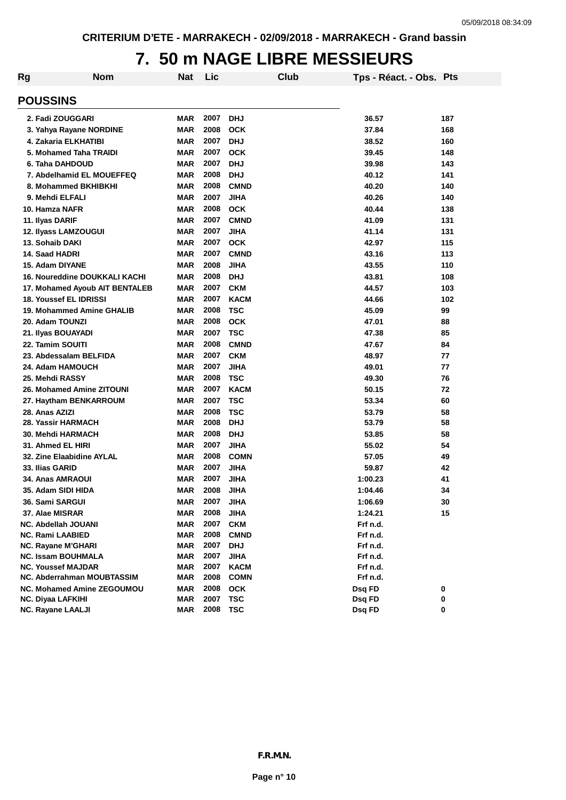### **7. 50 m NAGE LIBRE MESSIEURS**

| Rg                                   | <b>Nom</b> | Nat        | Lic  |             | <b>Club</b> | Tps - Réact. - Obs. Pts |     |
|--------------------------------------|------------|------------|------|-------------|-------------|-------------------------|-----|
| <b>POUSSINS</b>                      |            |            |      |             |             |                         |     |
| 2. Fadi ZOUGGARI                     |            | <b>MAR</b> | 2007 | <b>DHJ</b>  |             | 36.57                   | 187 |
| 3. Yahya Rayane NORDINE              |            | <b>MAR</b> | 2008 | <b>OCK</b>  |             | 37.84                   | 168 |
| 4. Zakaria ELKHATIBI                 |            | <b>MAR</b> | 2007 | <b>DHJ</b>  |             | 38.52                   | 160 |
| 5. Mohamed Taha TRAIDI               |            | <b>MAR</b> | 2007 | <b>OCK</b>  |             | 39.45                   | 148 |
| 6. Taha DAHDOUD                      |            | <b>MAR</b> | 2007 | <b>DHJ</b>  |             | 39.98                   | 143 |
| 7. Abdelhamid EL MOUEFFEQ            |            | <b>MAR</b> | 2008 | <b>DHJ</b>  |             | 40.12                   | 141 |
| 8. Mohammed BKHIBKHI                 |            | <b>MAR</b> | 2008 | <b>CMND</b> |             | 40.20                   | 140 |
| 9. Mehdi ELFALI                      |            | <b>MAR</b> | 2007 | <b>JIHA</b> |             | 40.26                   | 140 |
| 10. Hamza NAFR                       |            | <b>MAR</b> | 2008 | <b>OCK</b>  |             | 40.44                   | 138 |
| 11. Ilyas DARIF                      |            | <b>MAR</b> | 2007 | <b>CMND</b> |             | 41.09                   | 131 |
| 12. Ilyass LAMZOUGUI                 |            | <b>MAR</b> | 2007 | <b>JIHA</b> |             | 41.14                   | 131 |
| 13. Sohaib DAKI                      |            | <b>MAR</b> | 2007 | <b>OCK</b>  |             | 42.97                   | 115 |
| 14. Saad HADRI                       |            | <b>MAR</b> | 2007 | <b>CMND</b> |             | 43.16                   | 113 |
| 15. Adam DIYANE                      |            | <b>MAR</b> | 2008 | <b>JIHA</b> |             | 43.55                   | 110 |
| <b>16. Noureddine DOUKKALI KACHI</b> |            | <b>MAR</b> | 2008 | <b>DHJ</b>  |             | 43.81                   | 108 |
| 17. Mohamed Ayoub AIT BENTALEB       |            | <b>MAR</b> | 2007 | <b>CKM</b>  |             | 44.57                   | 103 |
| 18. Youssef EL IDRISSI               |            | <b>MAR</b> | 2007 | <b>KACM</b> |             | 44.66                   | 102 |
| 19. Mohammed Amine GHALIB            |            | <b>MAR</b> | 2008 | <b>TSC</b>  |             | 45.09                   | 99  |
| 20. Adam TOUNZI                      |            | <b>MAR</b> | 2008 | <b>OCK</b>  |             | 47.01                   | 88  |
| 21. Ilyas BOUAYADI                   |            | <b>MAR</b> | 2007 | <b>TSC</b>  |             | 47.38                   | 85  |
| 22. Tamim SOUITI                     |            | <b>MAR</b> | 2008 | <b>CMND</b> |             | 47.67                   | 84  |
| 23. Abdessalam BELFIDA               |            | <b>MAR</b> | 2007 | <b>CKM</b>  |             | 48.97                   | 77  |
| 24. Adam HAMOUCH                     |            | <b>MAR</b> | 2007 | <b>JIHA</b> |             | 49.01                   | 77  |
| 25. Mehdi RASSY                      |            | <b>MAR</b> | 2008 | <b>TSC</b>  |             | 49.30                   | 76  |
| 26. Mohamed Amine ZITOUNI            |            | <b>MAR</b> | 2007 | <b>KACM</b> |             | 50.15                   | 72  |
| 27. Haytham BENKARROUM               |            | <b>MAR</b> | 2007 | <b>TSC</b>  |             | 53.34                   | 60  |
| 28. Anas AZIZI                       |            | <b>MAR</b> | 2008 | <b>TSC</b>  |             | 53.79                   | 58  |
| 28. Yassir HARMACH                   |            | <b>MAR</b> | 2008 | <b>DHJ</b>  |             | 53.79                   | 58  |
| 30. Mehdi HARMACH                    |            | <b>MAR</b> | 2008 | <b>DHJ</b>  |             | 53.85                   | 58  |
| 31. Ahmed EL HIRI                    |            | <b>MAR</b> | 2007 | <b>JIHA</b> |             | 55.02                   | 54  |
| 32. Zine Elaabidine AYLAL            |            | <b>MAR</b> | 2008 | <b>COMN</b> |             | 57.05                   | 49  |
| 33. Ilias GARID                      |            | <b>MAR</b> | 2007 | <b>JIHA</b> |             | 59.87                   | 42  |
| 34. Anas AMRAOUI                     |            | <b>MAR</b> | 2007 | <b>JIHA</b> |             | 1:00.23                 | 41  |
| 35. Adam SIDI HIDA                   |            | <b>MAR</b> | 2008 | JIHA        |             | 1:04.46                 | 34  |
| 36. Sami SARGUI                      |            | <b>MAR</b> | 2007 | <b>JIHA</b> |             | 1:06.69                 | 30  |
| 37. Alae MISRAR                      |            | <b>MAR</b> | 2008 | <b>JIHA</b> |             | 1:24.21                 | 15  |
| NC. Abdellah JOUANI                  |            | <b>MAR</b> | 2007 | <b>CKM</b>  |             | Frf n.d.                |     |
| NC. Rami LAABIED                     |            | <b>MAR</b> | 2008 | <b>CMND</b> |             | Frf n.d.                |     |
| NC. Rayane M'GHARI                   |            | <b>MAR</b> | 2007 | <b>DHJ</b>  |             | Frf n.d.                |     |
| <b>NC. Issam BOUHMALA</b>            |            | <b>MAR</b> | 2007 | <b>JIHA</b> |             | Frf n.d.                |     |
| <b>NC. Youssef MAJDAR</b>            |            | <b>MAR</b> | 2007 | <b>KACM</b> |             | Frf n.d.                |     |
| NC. Abderrahman MOUBTASSIM           |            | <b>MAR</b> | 2008 | <b>COMN</b> |             | Frf n.d.                |     |
| <b>NC. Mohamed Amine ZEGOUMOU</b>    |            | <b>MAR</b> | 2008 | <b>OCK</b>  |             | Dsq FD                  | 0   |
| <b>NC. Diyaa LAFKIHI</b>             |            | <b>MAR</b> | 2007 | <b>TSC</b>  |             | Dsq FD                  | 0   |
| <b>NC. Rayane LAALJI</b>             |            | <b>MAR</b> | 2008 | <b>TSC</b>  |             | Dsq FD                  | 0   |
|                                      |            |            |      |             |             |                         |     |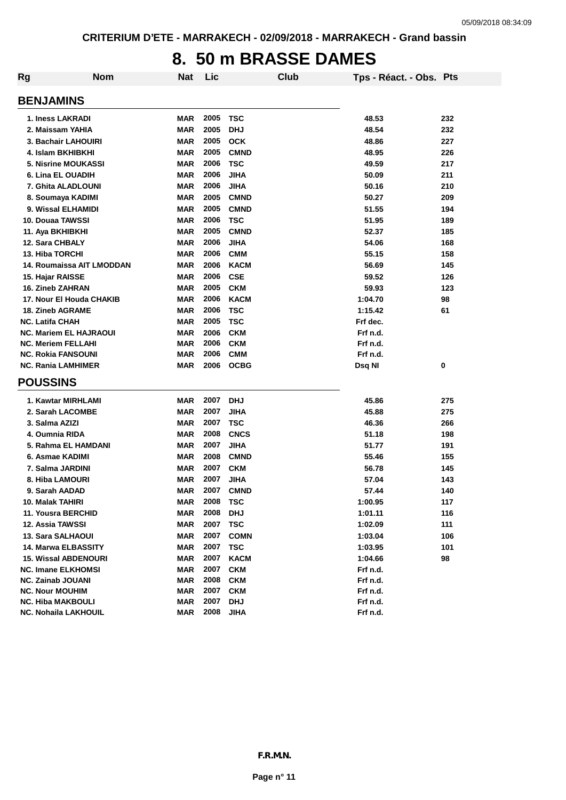### **8. 50 m BRASSE DAMES**

| <b>Rg</b>                                               | <b>Nom</b> | <b>Nat</b>               | Lic          | Club                     | Tps - Réact. - Obs. Pts |     |
|---------------------------------------------------------|------------|--------------------------|--------------|--------------------------|-------------------------|-----|
| <b>BENJAMINS</b>                                        |            |                          |              |                          |                         |     |
| 1. Iness LAKRADI                                        |            | <b>MAR</b>               | 2005         | <b>TSC</b>               | 48.53                   | 232 |
| 2. Maissam YAHIA                                        |            | <b>MAR</b>               | 2005         | <b>DHJ</b>               | 48.54                   | 232 |
| 3. Bachair LAHOUIRI                                     |            | <b>MAR</b>               | 2005         | <b>OCK</b>               | 48.86                   | 227 |
| 4. Islam BKHIBKHI                                       |            | <b>MAR</b>               | 2005         | <b>CMND</b>              | 48.95                   | 226 |
| <b>5. Nisrine MOUKASSI</b>                              |            | <b>MAR</b>               | 2006         | <b>TSC</b>               | 49.59                   | 217 |
| 6. Lina EL OUADIH                                       |            | <b>MAR</b>               | 2006         | <b>JIHA</b>              | 50.09                   | 211 |
| 7. Ghita ALADLOUNI                                      |            | <b>MAR</b>               | 2006         | <b>JIHA</b>              | 50.16                   | 210 |
| 8. Soumaya KADIMI                                       |            | <b>MAR</b>               | 2005         | <b>CMND</b>              | 50.27                   | 209 |
| 9. Wissal ELHAMIDI                                      |            | <b>MAR</b>               | 2005         | <b>CMND</b>              | 51.55                   | 194 |
| 10. Douaa TAWSSI                                        |            | <b>MAR</b>               | 2006         | <b>TSC</b>               | 51.95                   | 189 |
| 11. Aya BKHIBKHI                                        |            | <b>MAR</b>               | 2005         | <b>CMND</b>              | 52.37                   | 185 |
| 12. Sara CHBALY                                         |            | <b>MAR</b>               | 2006         | <b>JIHA</b>              | 54.06                   | 168 |
| 13. Hiba TORCHI                                         |            | <b>MAR</b>               | 2006         | <b>CMM</b>               | 55.15                   | 158 |
| <b>14. Roumaissa AIT LMODDAN</b>                        |            | <b>MAR</b>               | 2006         | <b>KACM</b>              | 56.69                   | 145 |
| 15. Hajar RAISSE                                        |            | <b>MAR</b>               | 2006         | <b>CSE</b>               | 59.52                   | 126 |
| <b>16. Zineb ZAHRAN</b>                                 |            | <b>MAR</b>               | 2005         | <b>CKM</b>               | 59.93                   | 123 |
| 17. Nour El Houda CHAKIB                                |            | <b>MAR</b>               | 2006         | <b>KACM</b>              | 1:04.70                 | 98  |
| <b>18. Zineb AGRAME</b>                                 |            | <b>MAR</b>               | 2006         | <b>TSC</b>               | 1:15.42                 | 61  |
| <b>NC. Latifa CHAH</b>                                  |            | <b>MAR</b>               | 2005         | <b>TSC</b>               | Frf dec.                |     |
| <b>NC. Mariem EL HAJRAOUI</b>                           |            | <b>MAR</b>               | 2006         | <b>CKM</b>               | Frf n.d.                |     |
| <b>NC. Meriem FELLAHI</b>                               |            | <b>MAR</b>               | 2006         | <b>CKM</b>               | Frf n.d.                |     |
| <b>NC. Rokia FANSOUNI</b>                               |            | <b>MAR</b>               | 2006         | <b>CMM</b>               | Frf n.d.                |     |
| <b>NC. Rania LAMHIMER</b>                               |            | MAR                      | 2006         | <b>OCBG</b>              | Dsq NI                  | 0   |
| <b>POUSSINS</b>                                         |            |                          |              |                          |                         |     |
| 1. Kawtar MIRHLAMI                                      |            | <b>MAR</b>               | 2007         | <b>DHJ</b>               | 45.86                   | 275 |
| 2. Sarah LACOMBE                                        |            | <b>MAR</b>               | 2007         | <b>JIHA</b>              | 45.88                   | 275 |
| 3. Salma AZIZI                                          |            | MAR                      | 2007         | <b>TSC</b>               | 46.36                   | 266 |
| 4. Oumnia RIDA                                          |            | <b>MAR</b>               | 2008         | <b>CNCS</b>              | 51.18                   | 198 |
| 5. Rahma EL HAMDANI                                     |            | <b>MAR</b>               | 2007         | <b>JIHA</b>              | 51.77                   | 191 |
| 6. Asmae KADIMI                                         |            | <b>MAR</b>               | 2008         | <b>CMND</b>              | 55.46                   | 155 |
| 7. Salma JARDINI                                        |            | <b>MAR</b>               | 2007         | <b>CKM</b>               | 56.78                   | 145 |
| 8. Hiba LAMOURI                                         |            | <b>MAR</b>               | 2007         | <b>JIHA</b>              | 57.04                   | 143 |
| 9. Sarah AADAD                                          |            | <b>MAR</b>               | 2007         | <b>CMND</b>              | 57.44                   | 140 |
| 10. Malak TAHIRI                                        |            | <b>MAR</b>               | 2008         | <b>TSC</b>               | 1:00.95                 | 117 |
| 11. Yousra BERCHID                                      |            | <b>MAR</b>               | 2008         | <b>DHJ</b>               | 1:01.11                 | 116 |
| 12. Assia TAWSSI                                        |            | <b>MAR</b>               | 2007         | <b>TSC</b>               | 1:02.09                 | 111 |
| 13. Sara SALHAOUI                                       |            | <b>MAR</b>               | 2007         | <b>COMN</b>              | 1:03.04                 | 106 |
| <b>14. Marwa ELBASSITY</b>                              |            | <b>MAR</b>               | 2007         | <b>TSC</b>               | 1:03.95                 | 101 |
|                                                         |            |                          | 2007         |                          |                         |     |
| <b>15. Wissal ABDENOURI</b>                             |            | <b>MAR</b>               |              | <b>KACM</b>              | 1:04.66                 | 98  |
| <b>NC. Imane ELKHOMSI</b>                               |            | <b>MAR</b>               | 2007<br>2008 | <b>CKM</b><br><b>CKM</b> | Frf n.d.                |     |
| <b>NC. Zainab JOUANI</b><br><b>NC. Nour MOUHIM</b>      |            | <b>MAR</b><br><b>MAR</b> | 2007         | <b>CKM</b>               | Frf n.d.<br>Frf n.d.    |     |
|                                                         |            | <b>MAR</b>               | 2007         | <b>DHJ</b>               | Frf n.d.                |     |
|                                                         |            |                          |              |                          |                         |     |
| <b>NC. Hiba MAKBOULI</b><br><b>NC. Nohaila LAKHOUIL</b> |            | <b>MAR</b>               | 2008         | <b>JIHA</b>              | Frf n.d.                |     |

**m**.N. 0 0 0 0  $\overline{N}$ **0 0 Page n° 10 1** 21 C/70100001954 PROVMAR000000000407008 711270960385 2018/04/01 *F.R.M.N.***Page 100 100 100 100 100 100 100 100 100 100 100 100 100 100 100 100 100 100 100 100 100 100 100 100 100 100 100 100 100 100 100 100 100 100 100 100** <sup>F</sup> <sup>2</sup> 904 Mars <sup>2018</sup>  $F. R. M.$ DAMES Dames  $F.R.M.N.$ DAMES Dames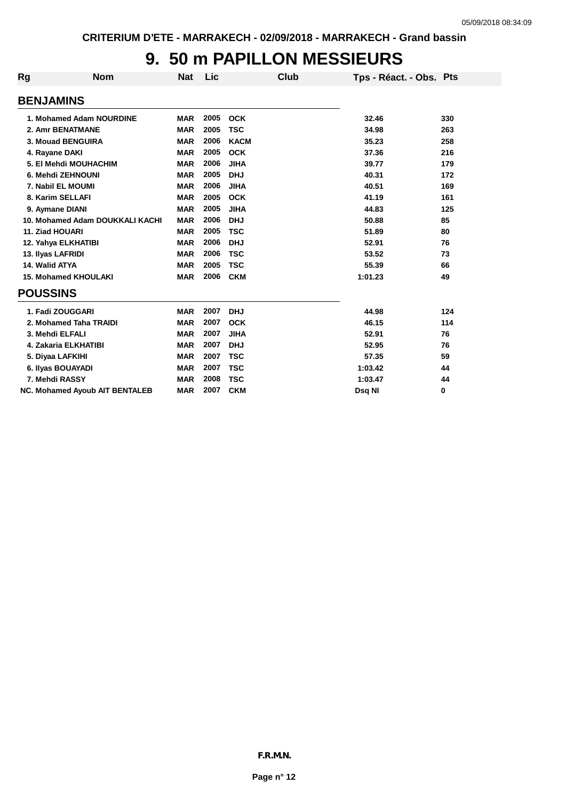## **9. 50 m PAPILLON MESSIEURS**

| <b>Rg</b>              | <b>Nom</b>                            | <b>Nat</b> | Lic  |             | Club | Tps - Réact. - Obs. Pts |     |
|------------------------|---------------------------------------|------------|------|-------------|------|-------------------------|-----|
| <b>BENJAMINS</b>       |                                       |            |      |             |      |                         |     |
|                        | 1. Mohamed Adam NOURDINE              | <b>MAR</b> | 2005 | <b>OCK</b>  |      | 32.46                   | 330 |
|                        | 2. Amr BENATMANE                      | <b>MAR</b> | 2005 | <b>TSC</b>  |      | 34.98                   | 263 |
|                        | 3. Mouad BENGUIRA                     | <b>MAR</b> | 2006 | <b>KACM</b> |      | 35.23                   | 258 |
| 4. Rayane DAKI         |                                       | <b>MAR</b> | 2005 | <b>OCK</b>  |      | 37.36                   | 216 |
|                        | 5. El Mehdi MOUHACHIM                 | <b>MAR</b> | 2006 | <b>JIHA</b> |      | 39.77                   | 179 |
|                        | 6. Mehdi ZEHNOUNI                     | <b>MAR</b> | 2005 | <b>DHJ</b>  |      | 40.31                   | 172 |
|                        | 7. Nabil EL MOUMI                     | <b>MAR</b> | 2006 | <b>JIHA</b> |      | 40.51                   | 169 |
|                        | 8. Karim SELLAFI                      | <b>MAR</b> | 2005 | <b>OCK</b>  |      | 41.19                   | 161 |
| 9. Aymane DIANI        |                                       | <b>MAR</b> | 2005 | <b>JIHA</b> |      | 44.83                   | 125 |
|                        | 10. Mohamed Adam DOUKKALI KACHI       | <b>MAR</b> | 2006 | <b>DHJ</b>  |      | 50.88                   | 85  |
| <b>11. Ziad HOUARI</b> |                                       | <b>MAR</b> | 2005 | <b>TSC</b>  |      | 51.89                   | 80  |
|                        | 12. Yahya ELKHATIBI                   | <b>MAR</b> | 2006 | <b>DHJ</b>  |      | 52.91                   | 76  |
| 13. Ilyas LAFRIDI      |                                       | <b>MAR</b> | 2006 | <b>TSC</b>  |      | 53.52                   | 73  |
| 14. Walid ATYA         |                                       | <b>MAR</b> | 2005 | <b>TSC</b>  |      | 55.39                   | 66  |
|                        | <b>15. Mohamed KHOULAKI</b>           | <b>MAR</b> | 2006 | <b>CKM</b>  |      | 1:01.23                 | 49  |
| <b>POUSSINS</b>        |                                       |            |      |             |      |                         |     |
|                        | 1. Fadi ZOUGGARI                      | <b>MAR</b> | 2007 | <b>DHJ</b>  |      | 44.98                   | 124 |
|                        | 2. Mohamed Taha TRAIDI                | <b>MAR</b> | 2007 | <b>OCK</b>  |      | 46.15                   | 114 |
| 3. Mehdi ELFALI        |                                       | <b>MAR</b> | 2007 | <b>JIHA</b> |      | 52.91                   | 76  |
|                        | 4. Zakaria ELKHATIBI                  | <b>MAR</b> | 2007 | <b>DHJ</b>  |      | 52.95                   | 76  |
|                        | 5. Diyaa LAFKIHI                      | <b>MAR</b> | 2007 | <b>TSC</b>  |      | 57.35                   | 59  |
|                        | 6. Ilyas BOUAYADI                     | <b>MAR</b> | 2007 | <b>TSC</b>  |      | 1:03.42                 | 44  |
| 7. Mehdi RASSY         |                                       | <b>MAR</b> | 2008 | <b>TSC</b>  |      | 1:03.47                 | 44  |
|                        | <b>NC. Mohamed Ayoub AIT BENTALEB</b> | <b>MAR</b> | 2007 | <b>CKM</b>  |      | Dsq NI                  | 0   |
|                        |                                       |            |      |             |      |                         |     |

**000000<sup>0</sup>**

*F.R.M.N.*

**Page n° 12**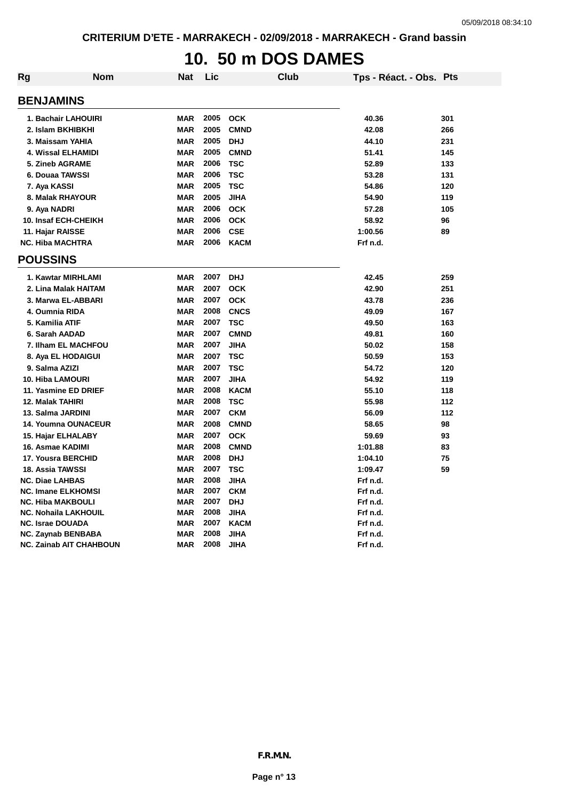# **10. 50 m DOS DAMES**

| <b>Rg</b>                 | <b>Nom</b>                     | <b>Nat</b> | Lic  | Club        | Tps - Réact. - Obs. Pts |     |
|---------------------------|--------------------------------|------------|------|-------------|-------------------------|-----|
| <b>BENJAMINS</b>          |                                |            |      |             |                         |     |
|                           | 1. Bachair LAHOUIRI            | <b>MAR</b> | 2005 | <b>OCK</b>  | 40.36                   | 301 |
|                           | 2. Islam BKHIBKHI              | <b>MAR</b> | 2005 | <b>CMND</b> | 42.08                   | 266 |
| 3. Maissam YAHIA          |                                | <b>MAR</b> | 2005 | <b>DHJ</b>  | 44.10                   | 231 |
|                           | 4. Wissal ELHAMIDI             | <b>MAR</b> | 2005 | <b>CMND</b> | 51.41                   | 145 |
| 5. Zineb AGRAME           |                                | <b>MAR</b> | 2006 | <b>TSC</b>  | 52.89                   | 133 |
| 6. Douaa TAWSSI           |                                | <b>MAR</b> | 2006 | <b>TSC</b>  | 53.28                   | 131 |
| 7. Aya KASSI              |                                | <b>MAR</b> | 2005 | <b>TSC</b>  | 54.86                   | 120 |
|                           | 8. Malak RHAYOUR               | <b>MAR</b> | 2005 | <b>JIHA</b> | 54.90                   | 119 |
| 9. Aya NADRI              |                                | MAR        | 2006 | <b>OCK</b>  | 57.28                   | 105 |
|                           | 10. Insaf ECH-CHEIKH           | <b>MAR</b> | 2006 | <b>OCK</b>  | 58.92                   | 96  |
| 11. Hajar RAISSE          |                                | <b>MAR</b> | 2006 | <b>CSE</b>  | 1:00.56                 | 89  |
| <b>NC. Hiba MACHTRA</b>   |                                | <b>MAR</b> | 2006 | <b>KACM</b> | Frf n.d.                |     |
| <b>POUSSINS</b>           |                                |            |      |             |                         |     |
|                           | 1. Kawtar MIRHLAMI             | <b>MAR</b> | 2007 | <b>DHJ</b>  | 42.45                   | 259 |
|                           | 2. Lina Malak HAITAM           | <b>MAR</b> | 2007 | <b>OCK</b>  | 42.90                   | 251 |
|                           | 3. Marwa EL-ABBARI             | <b>MAR</b> | 2007 | <b>OCK</b>  | 43.78                   | 236 |
| 4. Oumnia RIDA            |                                | <b>MAR</b> | 2008 | <b>CNCS</b> | 49.09                   | 167 |
| 5. Kamilia ATIF           |                                | <b>MAR</b> | 2007 | <b>TSC</b>  | 49.50                   | 163 |
| 6. Sarah AADAD            |                                | <b>MAR</b> | 2007 | <b>CMND</b> | 49.81                   | 160 |
|                           | 7. Ilham EL MACHFOU            | <b>MAR</b> | 2007 | <b>JIHA</b> | 50.02                   | 158 |
|                           | 8. Aya EL HODAIGUI             | <b>MAR</b> | 2007 | <b>TSC</b>  | 50.59                   | 153 |
| 9. Salma AZIZI            |                                | MAR        | 2007 | <b>TSC</b>  | 54.72                   | 120 |
| 10. Hiba LAMOURI          |                                | <b>MAR</b> | 2007 | <b>JIHA</b> | 54.92                   | 119 |
|                           | 11. Yasmine ED DRIEF           | <b>MAR</b> | 2008 | <b>KACM</b> | 55.10                   | 118 |
| 12. Malak TAHIRI          |                                | <b>MAR</b> | 2008 | <b>TSC</b>  | 55.98                   | 112 |
| 13. Salma JARDINI         |                                | <b>MAR</b> | 2007 | <b>CKM</b>  | 56.09                   | 112 |
|                           | 14. Youmna OUNACEUR            | <b>MAR</b> | 2008 | <b>CMND</b> | 58.65                   | 98  |
| 15. Hajar ELHALABY        |                                | <b>MAR</b> | 2007 | <b>OCK</b>  | 59.69                   | 93  |
| 16. Asmae KADIMI          |                                | <b>MAR</b> | 2008 | <b>CMND</b> | 1:01.88                 | 83  |
| 17. Yousra BERCHID        |                                | <b>MAR</b> | 2008 | <b>DHJ</b>  | 1:04.10                 | 75  |
| <b>18. Assia TAWSSI</b>   |                                | <b>MAR</b> | 2007 | <b>TSC</b>  | 1:09.47                 | 59  |
| <b>NC. Diae LAHBAS</b>    |                                | <b>MAR</b> | 2008 | <b>JIHA</b> | Frf n.d.                |     |
| <b>NC. Imane ELKHOMSI</b> |                                | <b>MAR</b> | 2007 | <b>CKM</b>  | Frf n.d.                |     |
| <b>NC. Hiba MAKBOULI</b>  |                                | <b>MAR</b> | 2007 | <b>DHJ</b>  | Frf n.d.                |     |
|                           | <b>NC. Nohaila LAKHOUIL</b>    | <b>MAR</b> | 2008 | <b>JIHA</b> | Frf n.d.                |     |
| <b>NC. Israe DOUADA</b>   |                                | <b>MAR</b> | 2007 | <b>KACM</b> | Frf n.d.                |     |
|                           | <b>NC. Zaynab BENBABA</b>      | <b>MAR</b> | 2008 | <b>JIHA</b> | Frf n.d.                |     |
|                           | <b>NC. Zainab AIT CHAHBOUN</b> | <b>MAR</b> | 2008 | <b>JIHA</b> | Frf n.d.                |     |

**m**.N. **0 0 Page n° 12 1** *F.R.M.N.* **P.R.M.N.**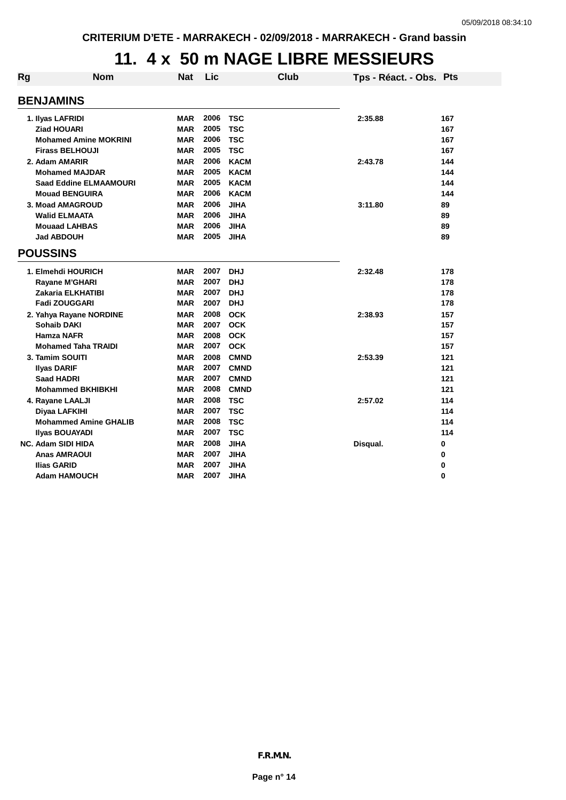### **11. 4 x 50 m NAGE LIBRE MESSIEURS**

| Rg | <b>Nom</b>                                             | <b>Nat</b>               | Lic          |                            | <b>Club</b> | Tps - Réact. - Obs. Pts |            |
|----|--------------------------------------------------------|--------------------------|--------------|----------------------------|-------------|-------------------------|------------|
|    | <b>BENJAMINS</b>                                       |                          |              |                            |             |                         |            |
|    | 1. Ilyas LAFRIDI                                       | <b>MAR</b>               | 2006         | <b>TSC</b>                 |             | 2:35.88                 | 167        |
|    | <b>Ziad HOUARI</b>                                     | <b>MAR</b>               | 2005         | <b>TSC</b>                 |             |                         | 167        |
|    | <b>Mohamed Amine MOKRINI</b>                           | <b>MAR</b>               | 2006         | <b>TSC</b>                 |             |                         | 167        |
|    | <b>Firass BELHOUJI</b>                                 | <b>MAR</b>               | 2005         | <b>TSC</b>                 |             |                         | 167        |
|    | 2. Adam AMARIR                                         | <b>MAR</b>               | 2006         | <b>KACM</b>                |             | 2:43.78                 | 144        |
|    | <b>Mohamed MAJDAR</b>                                  | <b>MAR</b>               | 2005         | <b>KACM</b>                |             |                         | 144        |
|    | <b>Saad Eddine ELMAAMOURI</b><br><b>Mouad BENGUIRA</b> | <b>MAR</b><br><b>MAR</b> | 2005<br>2006 | <b>KACM</b><br><b>KACM</b> |             |                         | 144<br>144 |
|    | 3. Moad AMAGROUD                                       | <b>MAR</b>               | 2006         | <b>JIHA</b>                |             | 3:11.80                 | 89         |
|    | <b>Walid ELMAATA</b>                                   | <b>MAR</b>               | 2006         | <b>JIHA</b>                |             |                         | 89         |
|    | <b>Mouaad LAHBAS</b>                                   | <b>MAR</b>               | 2006         | <b>JIHA</b>                |             |                         | 89         |
|    | <b>Jad ABDOUH</b>                                      | <b>MAR</b>               | 2005         | <b>JIHA</b>                |             |                         | 89         |
|    | <b>POUSSINS</b>                                        |                          |              |                            |             |                         |            |
|    | 1. Elmehdi HOURICH                                     | <b>MAR</b>               | 2007         | <b>DHJ</b>                 |             | 2:32.48                 | 178        |
|    | Rayane M'GHARI                                         | <b>MAR</b>               | 2007         | <b>DHJ</b>                 |             |                         | 178        |
|    | Zakaria ELKHATIBI                                      | <b>MAR</b>               | 2007         | <b>DHJ</b>                 |             |                         | 178        |
|    | Fadi ZOUGGARI                                          | <b>MAR</b>               | 2007         | <b>DHJ</b>                 |             |                         | 178        |
|    | 2. Yahya Rayane NORDINE                                | <b>MAR</b>               | 2008         | <b>OCK</b>                 |             | 2:38.93                 | 157        |
|    | <b>Sohaib DAKI</b>                                     | <b>MAR</b>               | 2007         | <b>OCK</b>                 |             |                         | 157        |
|    | <b>Hamza NAFR</b>                                      | <b>MAR</b>               | 2008         | <b>OCK</b>                 |             |                         | 157        |
|    | <b>Mohamed Taha TRAIDI</b>                             | <b>MAR</b>               | 2007         | <b>OCK</b>                 |             |                         | 157        |
|    | 3. Tamim SOUITI                                        | <b>MAR</b>               | 2008         | <b>CMND</b>                |             | 2:53.39                 | 121        |
|    | <b>Ilyas DARIF</b>                                     | <b>MAR</b>               | 2007         | <b>CMND</b>                |             |                         | 121        |
|    | <b>Saad HADRI</b>                                      | <b>MAR</b>               | 2007         | <b>CMND</b>                |             |                         | 121        |
|    | <b>Mohammed BKHIBKHI</b>                               | <b>MAR</b>               | 2008         | <b>CMND</b>                |             |                         | 121        |
|    | 4. Rayane LAALJI                                       | <b>MAR</b>               | 2008         | <b>TSC</b>                 |             | 2:57.02                 | 114        |
|    | Diyaa LAFKIHI<br><b>Mohammed Amine GHALIB</b>          | <b>MAR</b><br><b>MAR</b> | 2007<br>2008 | <b>TSC</b><br><b>TSC</b>   |             |                         | 114<br>114 |
|    | <b>Ilyas BOUAYADI</b>                                  | <b>MAR</b>               | 2007         | <b>TSC</b>                 |             |                         | 114        |
|    | <b>NC. Adam SIDI HIDA</b>                              | <b>MAR</b>               | 2008         | <b>JIHA</b>                |             | Disqual.                | 0          |
|    | <b>Anas AMRAOUI</b>                                    | <b>MAR</b>               | 2007         | <b>JIHA</b>                |             |                         | 0          |
|    | Ilias GARID                                            | <b>MAR</b>               | 2007         | <b>JIHA</b>                |             |                         | 0          |
|    | <b>Adam HAMOUCH</b>                                    | <b>MAR</b>               | 2007         | <b>JIHA</b>                |             |                         | 0          |
|    |                                                        |                          |              |                            |             |                         |            |
|    |                                                        |                          |              |                            |             |                         |            |
|    |                                                        |                          |              |                            |             |                         |            |
|    |                                                        |                          |              |                            |             |                         |            |
|    |                                                        |                          |              |                            |             |                         |            |
|    |                                                        |                          |              |                            |             |                         |            |
|    |                                                        |                          |              |                            |             |                         |            |
|    |                                                        |                          |              |                            |             |                         |            |
|    |                                                        |                          |              |                            |             |                         |            |
|    |                                                        |                          |              |                            |             |                         |            |
|    |                                                        |                          |              |                            |             |                         |            |
|    |                                                        |                          |              |                            |             |                         |            |
|    |                                                        |                          |              |                            |             |                         |            |
|    |                                                        |                          |              |                            |             |                         |            |
|    |                                                        |                          |              |                            |             |                         |            |
|    |                                                        |                          |              |                            |             |                         |            |
|    |                                                        |                          |              |                            |             |                         |            |
|    |                                                        |                          |              |                            |             |                         |            |
|    |                                                        |                          |              |                            |             |                         |            |
|    |                                                        |                          |              |                            |             |                         |            |
|    |                                                        |                          |              |                            |             |                         |            |
|    |                                                        |                          |              |                            |             |                         |            |
|    |                                                        |                          |              |                            |             |                         |            |
|    |                                                        |                          |              |                            |             |                         |            |